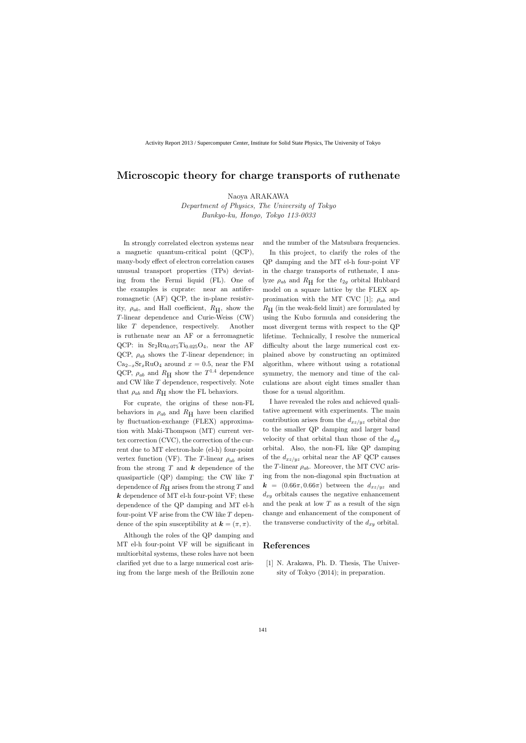## **Microscopic theory for charge transports of ruthenate**

Naoya ARAKAWA

*Department of Physics, The University of Tokyo Bunkyo-ku, Hongo, Tokyo 113-0033*

In strongly correlated electron systems near a magnetic quantum-critical point (QCP), many-body effect of electron correlation causes unusual transport properties (TPs) deviating from the Fermi liquid (FL). One of the examples is cuprate: near an antiferromagnetic (AF) QCP, the in-plane resistivity,  $\rho_{ab}$ , and Hall coefficient,  $R_{\rm H}$ , show the *T*-linear dependence and Curie-Weiss (CW) like *T* dependence, respectively. Another is ruthenate near an AF or a ferromagnetic QCP: in  $Sr_2Ru_{0.075}Ti_{0.025}O_4$ , near the AF QCP,  $\rho_{ab}$  shows the *T*-linear dependence; in  $Ca_{2-x}Sr_xRuO_4$  around  $x = 0.5$ , near the FM QCP,  $\rho_{ab}$  and  $R_H$  show the  $T^{1.4}$  dependence and CW like *T* dependence, respectively. Note that  $\rho_{ab}$  and  $R_H$  show the FL behaviors.

For cuprate, the origins of these non-FL behaviors in  $\rho_{ab}$  and  $R_{\rm H}$  have been clarified by fluctuation-exchange (FLEX) approximation with Maki-Thompson (MT) current vertex correction (CVC), the correction of the current due to MT electron-hole (el-h) four-point vertex function (VF). The *T*-linear  $\rho_{ab}$  arises from the strong *T* and *k* dependence of the quasiparticle (QP) damping; the CW like *T* dependence of  $R<sub>H</sub>$  arises from the strong  $T$  and *k* dependence of MT el-h four-point VF; these dependence of the QP damping and MT el-h four-point VF arise from the CW like *T* dependence of the spin susceptibility at  $\mathbf{k} = (\pi, \pi)$ .

Although the roles of the QP damping and MT el-h four-point VF will be significant in multiorbital systems, these roles have not been clarified yet due to a large numerical cost arising from the large mesh of the Brillouin zone and the number of the Matsubara frequencies.

In this project, to clarify the roles of the QP damping and the MT el-h four-point VF in the charge transports of ruthenate, I analyze  $\rho_{ab}$  and  $R_H$  for the  $t_{2g}$  orbital Hubbard model on a square lattice by the FLEX approximation with the MT CVC [1]; *ρab* and  $R_{\rm H}$  (in the weak-field limit) are formulated by using the Kubo formula and considering the most divergent terms with respect to the QP lifetime. Technically, I resolve the numerical difficulty about the large numerical cost explained above by constructing an optimized algorithm, where without using a rotational symmetry, the memory and time of the calculations are about eight times smaller than those for a usual algorithm.

I have revealed the roles and achieved qualitative agreement with experiments. The main contribution arises from the  $d_{xz/yz}$  orbital due to the smaller QP damping and larger band velocity of that orbital than those of the  $d_{xy}$ orbital. Also, the non-FL like QP damping of the  $d_{xz/yz}$  orbital near the AF QCP causes the *T*-linear  $\rho_{ab}$ . Moreover, the MT CVC arising from the non-diagonal spin fluctuation at  $k = (0.66\pi, 0.66\pi)$  between the  $d_{xz/yz}$  and  $d_{xy}$  orbitals causes the negative enhancement and the peak at low *T* as a result of the sign change and enhancement of the component of the transverse conductivity of the *dxy* orbital.

### **References**

[1] N. Arakawa, Ph. D. Thesis, The University of Tokyo (2014); in preparation.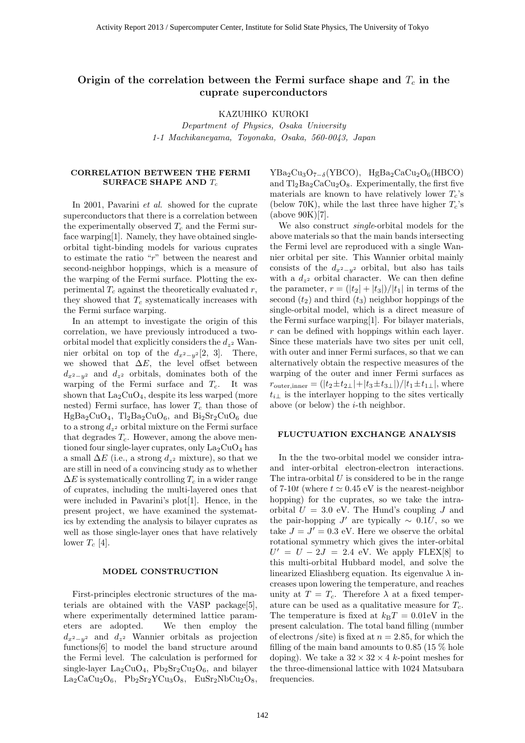#### **Origin of the correlation between the Fermi surface shape and** *T<sup>c</sup>* **in the cuprate superconductors**

KAZUHIKO KUROKI

*Department of Physics, Osaka University 1-1 Machikaneyama, Toyonaka, Osaka, 560-0043, Japan*

#### **CORRELATION BETWEEN THE FERMI SURFACE SHAPE AND** T*<sup>c</sup>*

In 2001, Pavarini *et al.* showed for the cuprate superconductors that there is a correlation between the experimentally observed  $T_c$  and the Fermi surface warping[1]. Namely, they have obtained singleorbital tight-binding models for various cuprates to estimate the ratio "r" between the nearest and second-neighbor hoppings, which is a measure of the warping of the Fermi surface. Plotting the experimental  $T_c$  against the theoretically evaluated r, they showed that  $T_c$  systematically increases with the Fermi surface warping.

In an attempt to investigate the origin of this correlation, we have previously introduced a twoorbital model that explicitly considers the  $d_{z^2}$  Wannier orbital on top of the  $d_{x^2-y^2}[2, 3]$ . There, we showed that  $\Delta E$ , the level offset between  $d_{x^2-y^2}$  and  $d_{z^2}$  orbitals, dominates both of the warping of the Fermi surface and  $T_c$ . It was shown that  $La_2CuO_4$ , despite its less warped (more nested) Fermi surface, has lower  $T_c$  than those of  $HgBa_2CuO_4$ ,  $Tl_2Ba_2CuO_6$ , and  $Bi_2Sr_2CuO_6$  due to a strong  $d_{z^2}$  orbital mixture on the Fermi surface that degrades  $T_c$ . However, among the above mentioned four single-layer cuprates, only  $\text{La}_2\text{CuO}_4$  has a small  $\Delta E$  (i.e., a strong  $d_{z^2}$  mixture), so that we are still in need of a convincing study as to whether  $\Delta E$  is systematically controlling  $T_c$  in a wider range of cuprates, including the multi-layered ones that were included in Pavarini's plot[1]. Hence, in the present project, we have examined the systematics by extending the analysis to bilayer cuprates as well as those single-layer ones that have relatively lower  $T_c$  [4].

#### **MODEL CONSTRUCTION**

First-principles electronic structures of the materials are obtained with the VASP package[5], where experimentally determined lattice parameters are adopted. We then employ the  $d_{x^2-y^2}$  and  $d_{z^2}$  Wannier orbitals as projection functions[6] to model the band structure around the Fermi level. The calculation is performed for single-layer  $La_2CuO_4$ ,  $Pb_2Sr_2Cu_2O_6$ , and bilayer  $La_2CaCu_2O_6$ ,  $Pb_2Sr_2YCu_3O_8$ ,  $EuSr_2NbCu_2O_8$ ,  $YBa<sub>2</sub>Cu<sub>3</sub>O<sub>7−δ</sub>(YBCO), HgBa<sub>2</sub>CaCu<sub>2</sub>O<sub>6</sub>(HBCO)$ and  $Tl_2Ba_2CaCu_2O_8$ . Experimentally, the first five materials are known to have relatively lower  $T_c$ 's (below 70K), while the last three have higher  $T_c$ 's (above 90K)[7].

We also construct *single*-orbital models for the above materials so that the main bands intersecting the Fermi level are reproduced with a single Wannier orbital per site. This Wannier orbital mainly consists of the  $d_{x^2-y^2}$  orbital, but also has tails with a  $d_{z^2}$  orbital character. We can then define the parameter,  $r = (|t_2| + |t_3|)/|t_1|$  in terms of the second  $(t_2)$  and third  $(t_3)$  neighbor hoppings of the single-orbital model, which is a direct measure of the Fermi surface warping[1]. For bilayer materials, r can be defined with hoppings within each layer. Since these materials have two sites per unit cell, with outer and inner Fermi surfaces, so that we can alternatively obtain the respective measures of the warping of the outer and inner Fermi surfaces as  $r_{\text{outer,inner}} = (|t_2 \pm t_{2\perp}| + |t_3 \pm t_{3\perp}|)/|t_1 \pm t_{1\perp}|$ , where  $t_{i\perp}$  is the interlayer hopping to the sites vertically above (or below) the  $i$ -th neighbor.

#### **FLUCTUATION EXCHANGE ANALYSIS**

In the the two-orbital model we consider intraand inter-orbital electron-electron interactions. The intra-orbital  $U$  is considered to be in the range of 7-10t (where  $t \simeq 0.45$  eV is the nearest-neighbor hopping) for the cuprates, so we take the intraorbital  $U = 3.0$  eV. The Hund's coupling J and the pair-hopping J' are typically  $\sim 0.1U$ , so we take  $J = J' = 0.3$  eV. Here we observe the orbital rotational symmetry which gives the inter-orbital  $U' = U - 2J = 2.4$  eV. We apply FLEX[8] to this multi-orbital Hubbard model, and solve the linearized Eliashberg equation. Its eigenvalue  $\lambda$  increases upon lowering the temperature, and reaches unity at  $T = T_c$ . Therefore  $\lambda$  at a fixed temperature can be used as a qualitative measure for  $T_c$ . The temperature is fixed at  $k_BT = 0.01$ eV in the present calculation. The total band filling (number of electrons /site) is fixed at  $n = 2.85$ , for which the filling of the main band amounts to 0.85 (15  $\%$  hole doping). We take a  $32 \times 32 \times 4$  k-point meshes for the three-dimensional lattice with 1024 Matsubara frequencies.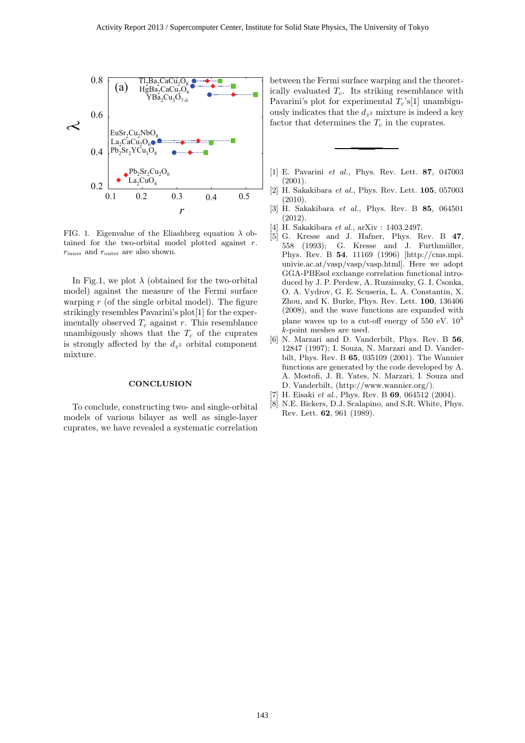

FIG. 1. Eigenvalue of the Eliashberg equation  $\lambda$  obtained for the two-orbital model plotted against  $r$ .  $r_{\text{inner}}$  and  $r_{\text{outer}}$  are also shown.

In Fig.1, we plot  $\lambda$  (obtained for the two-orbital model) against the measure of the Fermi surface warping  $r$  (of the single orbital model). The figure strikingly resembles Pavarini's plot[1] for the experimentally observed  $T_c$  against r. This resemblance unambigously shows that the  $T_c$  of the cuprates is strongly affected by the  $d_{z^2}$  orbital component mixture.

#### **CONCLUSION**

To conclude, constructing two- and single-orbital models of various bilayer as well as single-layer cuprates, we have revealed a systematic correlation between the Fermi surface warping and the theoretically evaluated  $T_c$ . Its striking resemblance with Pavarini's plot for experimental  $T_c$ 's[1] unambiguously indicates that the  $d_{z^2}$  mixture is indeed a key factor that determines the  $T_c$  in the cuprates.

- [1] E. Pavarini *et al.*, Phys. Rev. Lett. **87**, 047003  $(2001)$ .
- [2] H. Sakakibara *et al.*, Phys. Rev. Lett. **105**, 057003 (2010).
- [3] H. Sakakibara *et al.*, Phys. Rev. B **85**, 064501 (2012).
- [4] H. Sakakibara *et al.*, arXiv : 1403.2497.
- [5] G. Kresse and J. Hafner, Phys. Rev. B **47**, 558 (1993): G. Kresse and J. Furthmüller, Phys. Rev. B **54**, 11169 (1996) [http://cms.mpi. univie.ac.at/vasp/vasp/vasp.html]. Here we adopt GGA-PBEsol exchange correlation functional introduced by J. P. Perdew, A. Ruzsinszky, G. I. Csonka, O. A. Vydrov, G. E. Scuseria, L. A. Constantin, X. Zhou, and K. Burke, Phys. Rev. Lett. **100**, 136406 (2008), and the wave functions are expanded with plane waves up to a cut-off energy of  $550 \text{ eV}$ .  $10^3$ k-point meshes are used.
- [6] N. Marzari and D. Vanderbilt, Phys. Rev. B **56**, 12847 (1997); I. Souza, N. Marzari and D. Vanderbilt, Phys. Rev. B **65**, 035109 (2001). The Wannier functions are generated by the code developed by A. A. Mostofi, J. R. Yates, N. Marzari, I. Souza and D. Vanderbilt, (http://www.wannier.org/).
- [7] H. Eisaki *et al.*, Phys. Rev. B **69**, 064512 (2004).
- [8] N.E. Bickers, D.J. Scalapino, and S.R. White, Phys. Rev. Lett. **62**, 961 (1989).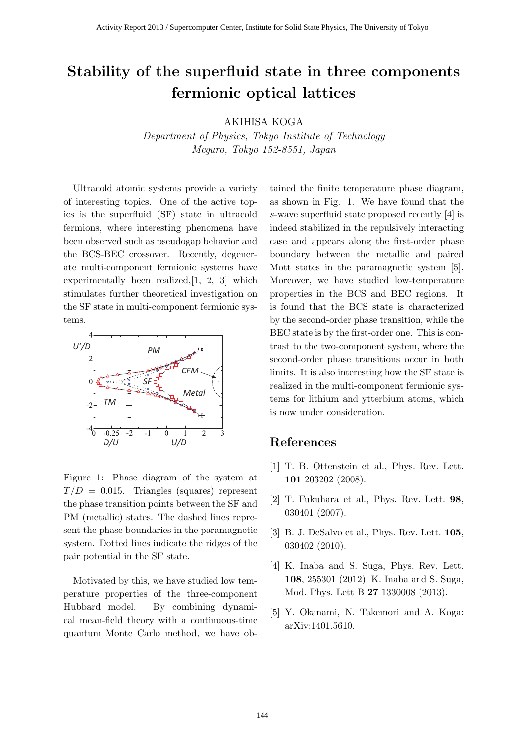## **Stability of the superfluid state in three components fermionic optical lattices**

AKIHISA KOGA

*Department of Physics, Tokyo Institute of Technology Meguro, Tokyo 152-8551, Japan*

Ultracold atomic systems provide a variety of interesting topics. One of the active topics is the superfluid (SF) state in ultracold fermions, where interesting phenomena have been observed such as pseudogap behavior and the BCS-BEC crossover. Recently, degenerate multi-component fermionic systems have experimentally been realized,[1, 2, 3] which stimulates further theoretical investigation on the SF state in multi-component fermionic systems.



Figure 1: Phase diagram of the system at  $T/D = 0.015$ . Triangles (squares) represent the phase transition points between the SF and PM (metallic) states. The dashed lines represent the phase boundaries in the paramagnetic system. Dotted lines indicate the ridges of the pair potential in the SF state.

Motivated by this, we have studied low temperature properties of the three-component Hubbard model. By combining dynamical mean-field theory with a continuous-time quantum Monte Carlo method, we have obtained the finite temperature phase diagram, as shown in Fig. 1. We have found that the *s*-wave superfluid state proposed recently [4] is indeed stabilized in the repulsively interacting case and appears along the first-order phase boundary between the metallic and paired Mott states in the paramagnetic system [5]. Moreover, we have studied low-temperature properties in the BCS and BEC regions. It is found that the BCS state is characterized by the second-order phase transition, while the BEC state is by the first-order one. This is contrast to the two-component system, where the second-order phase transitions occur in both limits. It is also interesting how the SF state is realized in the multi-component fermionic systems for lithium and ytterbium atoms, which is now under consideration.

- [1] T. B. Ottenstein et al., Phys. Rev. Lett. **101** 203202 (2008).
- [2] T. Fukuhara et al., Phys. Rev. Lett. **98**, 030401 (2007).
- [3] B. J. DeSalvo et al., Phys. Rev. Lett. **105**, 030402 (2010).
- [4] K. Inaba and S. Suga, Phys. Rev. Lett. **108**, 255301 (2012); K. Inaba and S. Suga, Mod. Phys. Lett B **27** 1330008 (2013).
- [5] Y. Okanami, N. Takemori and A. Koga: arXiv:1401.5610.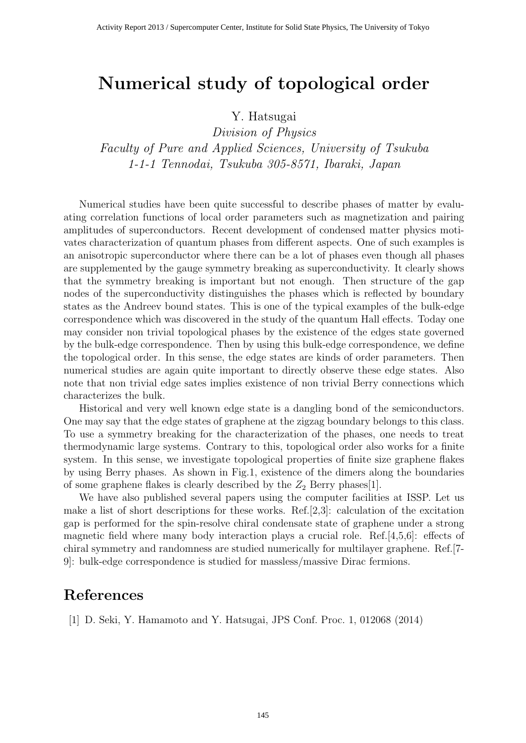# **Numerical study of topological order**

## Y. Hatsugai

*Division of Physics Faculty of Pure and Applied Sciences, University of Tsukuba 1-1-1 Tennodai, Tsukuba 305-8571, Ibaraki, Japan*

Numerical studies have been quite successful to describe phases of matter by evaluating correlation functions of local order parameters such as magnetization and pairing amplitudes of superconductors. Recent development of condensed matter physics motivates characterization of quantum phases from different aspects. One of such examples is an anisotropic superconductor where there can be a lot of phases even though all phases are supplemented by the gauge symmetry breaking as superconductivity. It clearly shows that the symmetry breaking is important but not enough. Then structure of the gap nodes of the superconductivity distinguishes the phases which is reflected by boundary states as the Andreev bound states. This is one of the typical examples of the bulk-edge correspondence which was discovered in the study of the quantum Hall effects. Today one may consider non trivial topological phases by the existence of the edges state governed by the bulk-edge correspondence. Then by using this bulk-edge correspondence, we define the topological order. In this sense, the edge states are kinds of order parameters. Then numerical studies are again quite important to directly observe these edge states. Also note that non trivial edge sates implies existence of non trivial Berry connections which characterizes the bulk.

Historical and very well known edge state is a dangling bond of the semiconductors. One may say that the edge states of graphene at the zigzag boundary belongs to this class. To use a symmetry breaking for the characterization of the phases, one needs to treat thermodynamic large systems. Contrary to this, topological order also works for a finite system. In this sense, we investigate topological properties of finite size graphene flakes by using Berry phases. As shown in Fig.1, existence of the dimers along the boundaries of some graphene flakes is clearly described by the  $Z_2$  Berry phases[1].

We have also published several papers using the computer facilities at ISSP. Let us make a list of short descriptions for these works. Ref.[2,3]: calculation of the excitation gap is performed for the spin-resolve chiral condensate state of graphene under a strong magnetic field where many body interaction plays a crucial role. Ref.[4,5,6]: effects of chiral symmetry and randomness are studied numerically for multilayer graphene. Ref.[7- 9]: bulk-edge correspondence is studied for massless/massive Dirac fermions.

## **References**

[1] D. Seki, Y. Hamamoto and Y. Hatsugai, JPS Conf. Proc. 1, 012068 (2014)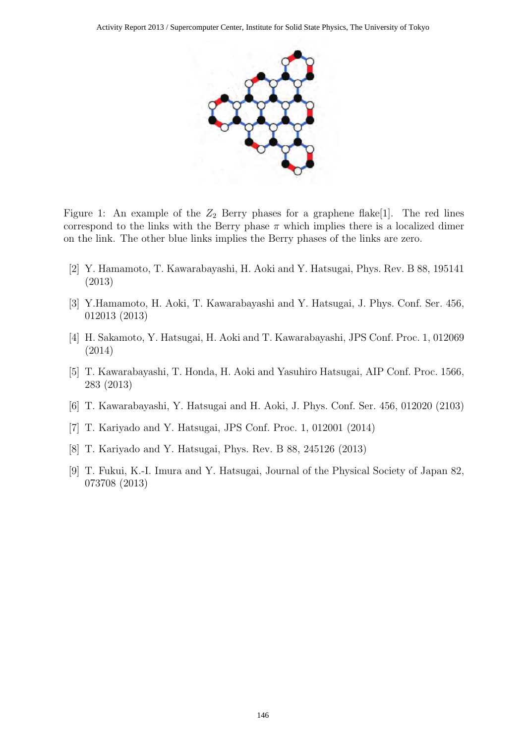

Figure 1: An example of the  $Z_2$  Berry phases for a graphene flake<sup>[1]</sup>. The red lines correspond to the links with the Berry phase  $\pi$  which implies there is a localized dimer on the link. The other blue links implies the Berry phases of the links are zero.

- [2] Y. Hamamoto, T. Kawarabayashi, H. Aoki and Y. Hatsugai, Phys. Rev. B 88, 195141 (2013)
- [3] Y.Hamamoto, H. Aoki, T. Kawarabayashi and Y. Hatsugai, J. Phys. Conf. Ser. 456, 012013 (2013)
- [4] H. Sakamoto, Y. Hatsugai, H. Aoki and T. Kawarabayashi, JPS Conf. Proc. 1, 012069 (2014)
- [5] T. Kawarabayashi, T. Honda, H. Aoki and Yasuhiro Hatsugai, AIP Conf. Proc. 1566, 283 (2013)
- [6] T. Kawarabayashi, Y. Hatsugai and H. Aoki, J. Phys. Conf. Ser. 456, 012020 (2103)
- [7] T. Kariyado and Y. Hatsugai, JPS Conf. Proc. 1, 012001 (2014)
- [8] T. Kariyado and Y. Hatsugai, Phys. Rev. B 88, 245126 (2013)
- [9] T. Fukui, K.-I. Imura and Y. Hatsugai, Journal of the Physical Society of Japan 82, 073708 (2013)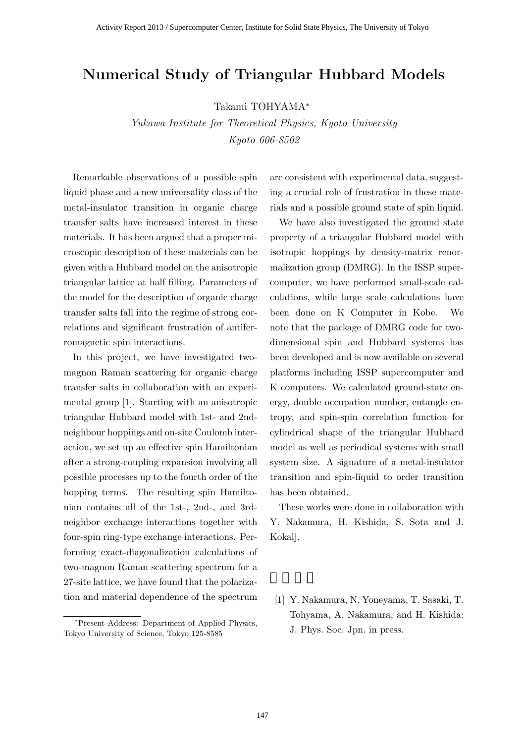## **Numerical Study of Triangular Hubbard Models**

Takami TOHYAMA*<sup>∗</sup>*

*Yukawa Institute for Theoretical Physics, Kyoto University Kyoto 606-8502*

Remarkable observations of a possible spin liquid phase and a new universality class of the metal-insulator transition in organic charge transfer salts have increased interest in these materials. It has been argued that a proper microscopic description of these materials can be given with a Hubbard model on the anisotropic triangular lattice at half filling. Parameters of the model for the description of organic charge transfer salts fall into the regime of strong correlations and significant frustration of antiferromagnetic spin interactions.

In this project, we have investigated twomagnon Raman scattering for organic charge transfer salts in collaboration with an experimental group [1]. Starting with an anisotropic triangular Hubbard model with 1st- and 2ndneighbour hoppings and on-site Coulomb interaction, we set up an effective spin Hamiltonian after a strong-coupling expansion involving all possible processes up to the fourth order of the hopping terms. The resulting spin Hamiltonian contains all of the 1st-, 2nd-, and 3rdneighbor exchange interactions together with four-spin ring-type exchange interactions. Performing exact-diagonalization calculations of two-magnon Raman scattering spectrum for a 27-site lattice, we have found that the polarization and material dependence of the spectrum

are consistent with experimental data, suggesting a crucial role of frustration in these materials and a possible ground state of spin liquid.

We have also investigated the ground state property of a triangular Hubbard model with isotropic hoppings by density-matrix renormalization group (DMRG). In the ISSP supercomputer, we have performed small-scale calculations, while large scale calculations have been done on K Computer in Kobe. We note that the package of DMRG code for twodimensional spin and Hubbard systems has been developed and is now available on several platforms including ISSP supercomputer and K computers. We calculated ground-state energy, double occupation number, entangle entropy, and spin-spin correlation function for cylindrical shape of the triangular Hubbard model as well as periodical systems with small system size. A signature of a metal-insulator transition and spin-liquid to order transition has been obtained.

These works were done in collaboration with Y. Nakamura, H. Kishida, S. Sota and J. Kokalj.

[1] Y. Nakamura, N. Yoneyama, T. Sasaki, T. Tohyama, A. Nakamura, and H. Kishida: J. Phys. Soc. Jpn. in press.

*<sup>∗</sup>*Present Address: Department of Applied Physics, Tokyo University of Science, Tokyo 125-8585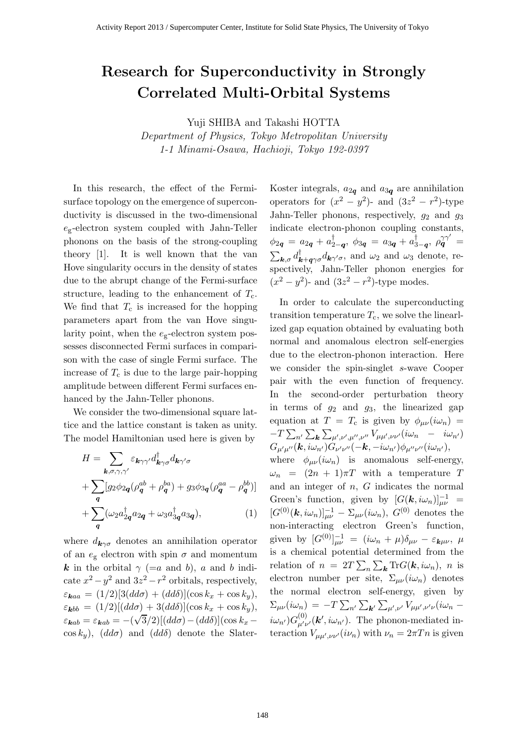## Research for Superconductivity in Strongly Correlated Multi-Orbital Systems

Yuji SHIBA and Takashi HOTTA

Department of Physics, Tokyo Metropolitan University 1-1 Minami-Osawa, Hachioji, Tokyo 192-0397

In this research, the effect of the Fermisurface topology on the emergence of superconductivity is discussed in the two-dimensional  $e_g$ -electron system coupled with Jahn-Teller phonons on the basis of the strong-coupling theory [1]. It is well known that the van Hove singularity occurs in the density of states due to the abrupt change of the Fermi-surface structure, leading to the enhancement of  $T_c$ . We find that  $T_c$  is increased for the hopping parameters apart from the van Hove singularity point, when the  $e_{\rm g}$ -electron system possesses disconnected Fermi surfaces in comparison with the case of single Fermi surface. The increase of  $T_c$  is due to the large pair-hopping amplitude between different Fermi surfaces enhanced by the Jahn-Teller phonons.

We consider the two-dimensional square lattice and the lattice constant is taken as unity. The model Hamiltonian used here is given by

$$
H = \sum_{\mathbf{k},\sigma,\gamma,\gamma'} \varepsilon_{\mathbf{k}\gamma\gamma'} d_{\mathbf{k}\gamma\sigma}^{\dagger} d_{\mathbf{k}\gamma'\sigma}
$$
  
+ 
$$
\sum_{\mathbf{q}} [g_2 \phi_{2\mathbf{q}} (\rho_{\mathbf{q}}^{ab} + \rho_{\mathbf{q}}^{ba}) + g_3 \phi_{3\mathbf{q}} (\rho_{\mathbf{q}}^{aa} - \rho_{\mathbf{q}}^{bb})]
$$
  
+ 
$$
\sum_{\mathbf{q}} (\omega_2 a_{2\mathbf{q}}^{\dagger} a_{2\mathbf{q}} + \omega_3 a_{3\mathbf{q}}^{\dagger} a_{3\mathbf{q}}),
$$
 (1)

where  $d_{\mathbf{k}\gamma\sigma}$  denotes an annihilation operator of an  $e_{\rm g}$  electron with spin  $\sigma$  and momentum k in the orbital  $\gamma$  (=a and b), a and b indicate  $x^2 - y^2$  and  $3z^2 - r^2$  orbitals, respectively,  $\varepsilon_{\mathbf{k}aa} = (1/2)[3(dd\sigma) + (dd\delta)](\cos k_x + \cos k_y),$  $\varepsilon_{\bf kbb} = (1/2)[(dd\sigma) + 3(dd\delta)](\cos k_x + \cos k_y),$  $\varepsilon_{\boldsymbol{k}ab} = \varepsilon_{\boldsymbol{k}ab} = -(\sqrt{3}/2)[(dd\sigma) - (dd\delta)](\cos k_x (\cos k_y)$ ,  $(dd\sigma)$  and  $(dd\delta)$  denote the SlaterKoster integrals,  $a_{2q}$  and  $a_{3q}$  are annihilation operators for  $(x^2 - y^2)$ - and  $(3z^2 - r^2)$ -type Jahn-Teller phonons, respectively,  $g_2$  and  $g_3$ indicate electron-phonon coupling constants,  $\phi_{2\bm{q}}\ =\ a_{2\bm{q}}\,+\,a_{2-\bm{q}}^\dagger ,\ \phi_{3\bm{q}}\ =\ a_{3\bm{q}}\,+\,a_{3-\bm{q}}^\dagger ,\ \rho_{\bm{q}}^{\gamma\gamma'}\ =$  $\sum_{\mathbf{k},\sigma} d_{\mathbf{k}+\mathbf{q}\gamma\sigma}^{\dagger} d_{\mathbf{k}\gamma'\sigma}$ , and  $\omega_2$  and  $\omega_3$  denote, respectively, Jahn-Teller phonon energies for  $(x^{2} - y^{2})$ - and  $(3z^{2} - r^{2})$ -type modes.

In order to calculate the superconducting transition temperature  $T_c$ , we solve the linearlized gap equation obtained by evaluating both normal and anomalous electron self-energies due to the electron-phonon interaction. Here we consider the spin-singlet s-wave Cooper pair with the even function of frequency. In the second-order perturbation theory in terms of  $g_2$  and  $g_3$ , the linearized gap equation at  $T = T_c$  is given by  $\phi_{\mu\nu}(i\omega_n)$  =  $-T \sum_{n'} \sum_{\boldsymbol{k}} \sum_{\mu',\nu',\mu'',\nu''} V_{\mu\mu',\nu\nu'}(i\omega_n - i\omega_{n'})$  $G_{\mu'\mu''}(\boldsymbol{k},i\omega_{n'})\dot{G}_{\nu'\nu''}(-\boldsymbol{k},-i\omega_{n'})\phi_{\mu''\nu''}(i\omega_{n'}),$ where  $\phi_{\mu\nu}(i\omega_n)$  is anomalous self-energy,  $\omega_n = (2n + 1)\pi T$  with a temperature T and an integer of  $n$ ,  $G$  indicates the normal Green's function, given by  $[G(\mathbf{k}, i\omega_n)]_{\mu\nu}^{-1}$  =  $[G^{(0)}(\bm{k}, i\omega_n)]_{\mu\nu}^{-1} - \Sigma_{\mu\nu}(i\omega_n), G^{(0)}$  denotes the non-interacting electron Green's function, given by  $[G^{(0)}]^{-1}_{\mu\nu} = (i\omega_n + \mu)\delta_{\mu\nu} - \varepsilon_{\mathbf{k}\mu\nu}, \ \mu$ is a chemical potential determined from the relation of  $n = 2T \sum_{n} \sum_{k} \text{Tr}G(\mathbf{k}, i\omega_n)$ , n is electron number per site,  $\Sigma_{\mu\nu}(i\omega_n)$  denotes the normal electron self-energy, given by  $\Sigma_{\mu\nu}(i\omega_n)\,=\,-T\sum_{n'}\sum_{{\bf k}'}\sum_{\mu',\nu'}V_{\mu\mu',\nu'\nu}(i\omega_n\, (i\omega_{n'}) G^{(0)}_{\mu'\nu'}(\boldsymbol{k}', i\omega_{n'}).$  The phonon-mediated interaction  $V_{\mu\mu',\nu\nu'}(i\nu_n)$  with  $\nu_n = 2\pi T n$  is given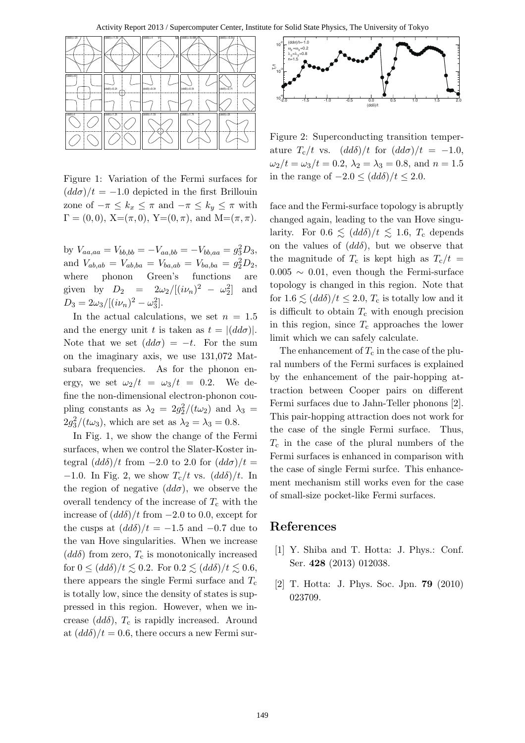

Figure 1: Variation of the Fermi surfaces for  $(d d\sigma)/t = -1.0$  depicted in the first Brillouin zone of  $-\pi \leq k_x \leq \pi$  and  $-\pi \leq k_y \leq \pi$  with  $\Gamma = (0, 0), X = (\pi, 0), Y = (0, \pi), \text{ and } M = (\pi, \pi).$ 

by  $V_{aa,aa} = V_{bb,bb} = -V_{aa,bb} = -V_{bb,aa} = g_3^2 D_3$ , and  $V_{ab,ab} = V_{ab,ba} = V_{ba,ab} = V_{ba,ba} = g_2^2 D_2$ , where phonon Green's functions are given by  $D_2 = 2\omega_2/[(i\nu_n)^2 - \omega_2^2]$ ] and  $D_3 = 2\omega_3/[(i\nu_n)^2 - \omega_3^2].$ 

In the actual calculations, we set  $n = 1.5$ and the energy unit t is taken as  $t = |(dd\sigma)|$ . Note that we set  $(dd\sigma) = -t$ . For the sum on the imaginary axis, we use 131,072 Matsubara frequencies. As for the phonon energy, we set  $\omega_2/t = \omega_3/t = 0.2$ . We define the non-dimensional electron-phonon coupling constants as  $\lambda_2 = 2g_2^2/(t\omega_2)$  and  $\lambda_3 =$  $2g_3^2/(t\omega_3)$ , which are set as  $\lambda_2 = \lambda_3 = 0.8$ .

In Fig. 1, we show the change of the Fermi surfaces, when we control the Slater-Koster integral  $\left(\frac{dd\delta}{t \text{ from }}-2.0 \text{ to } 2.0 \text{ for } \left(\frac{dd\sigma}{t}\right)\right)t$  = −1.0. In Fig. 2, we show  $T_c/t$  vs.  $(dd\delta)/t$ . In the region of negative  $(dd\sigma)$ , we observe the overall tendency of the increase of  $T_c$  with the increase of  $\left(\frac{dd\delta}{t \text{ from } -2.0 \text{ to } 0.0, \text{ except for}}\right)$ the cusps at  $(dd\delta)/t = -1.5$  and  $-0.7$  due to the van Hove singularities. When we increase  $(dd\delta)$  from zero,  $T_c$  is monotonically increased for  $0 \le (dd\delta)/t \lesssim 0.2$ . For  $0.2 \lesssim (dd\delta)/t \lesssim 0.6$ , there appears the single Fermi surface and  $T_c$ is totally low, since the density of states is suppressed in this region. However, when we increase  $(dd\delta)$ ,  $T_c$  is rapidly increased. Around at  $\left(\frac{dd\delta}{t}\right) = 0.6$ , there occurs a new Fermi sur-



Figure 2: Superconducting transition temperature  $T_c/t$  vs.  $(dd\delta)/t$  for  $(dd\sigma)/t = -1.0$ ,  $\omega_2/t = \omega_3/t = 0.2, \lambda_2 = \lambda_3 = 0.8, \text{ and } n = 1.5$ in the range of  $-2.0 \le (ddδ)/t \le 2.0$ .

face and the Fermi-surface topology is abruptly changed again, leading to the van Hove singularity. For  $0.6 \leq (dd\delta)/t \leq 1.6$ ,  $T_c$  depends on the values of  $(dd\delta)$ , but we observe that the magnitude of  $T_c$  is kept high as  $T_c/t =$  $0.005 \sim 0.01$ , even though the Fermi-surface topology is changed in this region. Note that for  $1.6 \lesssim (dd\delta)/t \leq 2.0$ ,  $T_c$  is totally low and it is difficult to obtain  $T_c$  with enough precision in this region, since  $T_c$  approaches the lower limit which we can safely calculate.

The enhancement of  $T_c$  in the case of the plural numbers of the Fermi surfaces is explained by the enhancement of the pair-hopping attraction between Cooper pairs on different Fermi surfaces due to Jahn-Teller phonons [2]. This pair-hopping attraction does not work for the case of the single Fermi surface. Thus,  $T_c$  in the case of the plural numbers of the Fermi surfaces is enhanced in comparison with the case of single Fermi surfce. This enhancement mechanism still works even for the case of small-size pocket-like Fermi surfaces.

- [1] Y. Shiba and T. Hotta: J. Phys.: Conf. Ser. 428 (2013) 012038.
- [2] T. Hotta: J. Phys. Soc. Jpn. 79 (2010) 023709.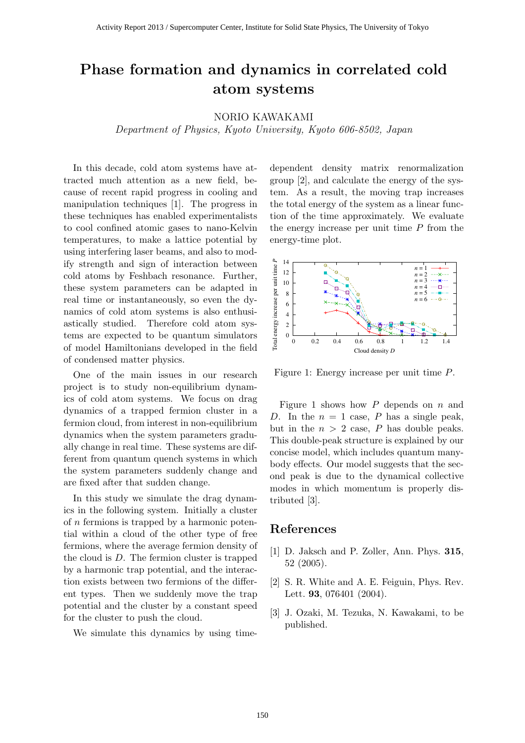## **Phase formation and dynamics in correlated cold atom systems**

#### NORIO KAWAKAMI

*Department of Physics, Kyoto University, Kyoto 606-8502, Japan*

In this decade, cold atom systems have attracted much attention as a new field, because of recent rapid progress in cooling and manipulation techniques [1]. The progress in these techniques has enabled experimentalists to cool confined atomic gases to nano-Kelvin temperatures, to make a lattice potential by using interfering laser beams, and also to modify strength and sign of interaction between cold atoms by Feshbach resonance. Further, these system parameters can be adapted in real time or instantaneously, so even the dynamics of cold atom systems is also enthusiastically studied. Therefore cold atom systems are expected to be quantum simulators of model Hamiltonians developed in the field of condensed matter physics.

One of the main issues in our research project is to study non-equilibrium dynamics of cold atom systems. We focus on drag dynamics of a trapped fermion cluster in a fermion cloud, from interest in non-equilibrium dynamics when the system parameters gradually change in real time. These systems are different from quantum quench systems in which the system parameters suddenly change and are fixed after that sudden change.

In this study we simulate the drag dynamics in the following system. Initially a cluster of *n* fermions is trapped by a harmonic potential within a cloud of the other type of free fermions, where the average fermion density of the cloud is *D*. The fermion cluster is trapped by a harmonic trap potential, and the interaction exists between two fermions of the different types. Then we suddenly move the trap potential and the cluster by a constant speed for the cluster to push the cloud.

We simulate this dynamics by using time-

dependent density matrix renormalization group [2], and calculate the energy of the system. As a result, the moving trap increases the total energy of the system as a linear function of the time approximately. We evaluate the energy increase per unit time *P* from the energy-time plot.



Figure 1: Energy increase per unit time *P*.

Figure 1 shows how *P* depends on *n* and *D*. In the  $n = 1$  case, *P* has a single peak, but in the  $n > 2$  case,  $P$  has double peaks. This double-peak structure is explained by our concise model, which includes quantum manybody effects. Our model suggests that the second peak is due to the dynamical collective modes in which momentum is properly distributed [3].

- [1] D. Jaksch and P. Zoller, Ann. Phys. **315**, 52 (2005).
- [2] S. R. White and A. E. Feiguin, Phys. Rev. Lett. **93**, 076401 (2004).
- [3] J. Ozaki, M. Tezuka, N. Kawakami, to be published.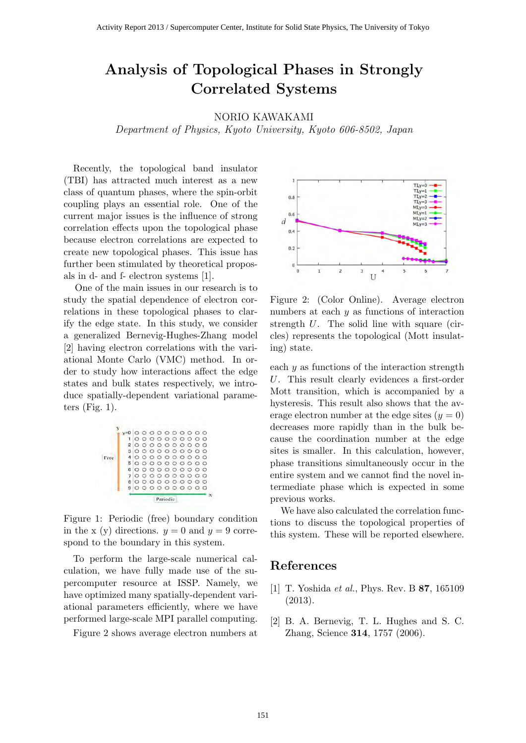## **Analysis of Topological Phases in Strongly Correlated Systems**

### NORIO KAWAKAMI

*Department of Physics, Kyoto University, Kyoto 606-8502, Japan*

Recently, the topological band insulator (TBI) has attracted much interest as a new class of quantum phases, where the spin-orbit coupling plays an essential role. One of the current major issues is the influence of strong correlation effects upon the topological phase because electron correlations are expected to create new topological phases. This issue has further been stimulated by theoretical proposals in d- and f- electron systems [1].

One of the main issues in our research is to study the spatial dependence of electron correlations in these topological phases to clarify the edge state. In this study, we consider a generalized Bernevig-Hughes-Zhang model [2] having electron correlations with the variational Monte Carlo (VMC) method. In order to study how interactions affect the edge states and bulk states respectively, we introduce spatially-dependent variational parameters (Fig. 1).



Figure 1: Periodic (free) boundary condition in the x (y) directions.  $y = 0$  and  $y = 9$  correspond to the boundary in this system.

To perform the large-scale numerical calculation, we have fully made use of the supercomputer resource at ISSP. Namely, we have optimized many spatially-dependent variational parameters efficiently, where we have performed large-scale MPI parallel computing.

Figure 2 shows average electron numbers at



Figure 2: (Color Online). Average electron numbers at each *y* as functions of interaction strength *U*. The solid line with square (circles) represents the topological (Mott insulating) state.

each *y* as functions of the interaction strength *U*. This result clearly evidences a first-order Mott transition, which is accompanied by a hysteresis. This result also shows that the average electron number at the edge sites  $(y = 0)$ decreases more rapidly than in the bulk because the coordination number at the edge sites is smaller. In this calculation, however, phase transitions simultaneously occur in the entire system and we cannot find the novel intermediate phase which is expected in some previous works.

We have also calculated the correlation functions to discuss the topological properties of this system. These will be reported elsewhere.

- [1] T. Yoshida *et al.*, Phys. Rev. B **87**, 165109 (2013).
- [2] B. A. Bernevig, T. L. Hughes and S. C. Zhang, Science **314**, 1757 (2006).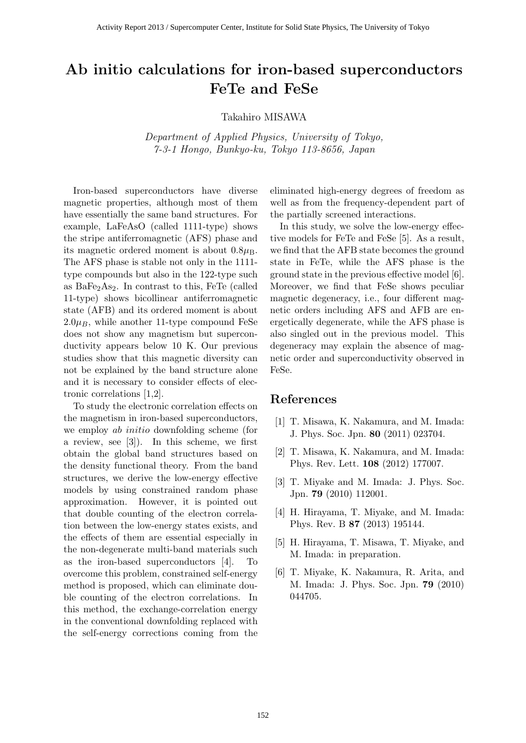## **Ab initio calculations for iron-based superconductors FeTe and FeSe**

Takahiro MISAWA

*Department of Applied Physics, University of Tokyo, 7-3-1 Hongo, Bunkyo-ku, Tokyo 113-8656, Japan*

Iron-based superconductors have diverse magnetic properties, although most of them have essentially the same band structures. For example, LaFeAsO (called 1111-type) shows the stripe antiferromagnetic (AFS) phase and its magnetic ordered moment is about  $0.8\mu_B$ . The AFS phase is stable not only in the 1111 type compounds but also in the 122-type such as  $BaFe<sub>2</sub>As<sub>2</sub>$ . In contrast to this, FeTe (called 11-type) shows bicollinear antiferromagnetic state (AFB) and its ordered moment is about  $2.0\mu$ <sub>B</sub>, while another 11-type compound FeSe does not show any magnetism but superconductivity appears below 10 K. Our previous studies show that this magnetic diversity can not be explained by the band structure alone and it is necessary to consider effects of electronic correlations [1,2].

To study the electronic correlation effects on the magnetism in iron-based superconductors, we employ *ab initio* downfolding scheme (for a review, see [3]). In this scheme, we first obtain the global band structures based on the density functional theory. From the band structures, we derive the low-energy effective models by using constrained random phase approximation. However, it is pointed out that double counting of the electron correlation between the low-energy states exists, and the effects of them are essential especially in the non-degenerate multi-band materials such as the iron-based superconductors [4]. To overcome this problem, constrained self-energy method is proposed, which can eliminate double counting of the electron correlations. In this method, the exchange-correlation energy in the conventional downfolding replaced with the self-energy corrections coming from the

eliminated high-energy degrees of freedom as well as from the frequency-dependent part of the partially screened interactions.

In this study, we solve the low-energy effective models for FeTe and FeSe [5]. As a result, we find that the AFB state becomes the ground state in FeTe, while the AFS phase is the ground state in the previous effective model [6]. Moreover, we find that FeSe shows peculiar magnetic degeneracy, i.e., four different magnetic orders including AFS and AFB are energetically degenerate, while the AFS phase is also singled out in the previous model. This degeneracy may explain the absence of magnetic order and superconductivity observed in FeSe.

- [1] T. Misawa, K. Nakamura, and M. Imada: J. Phys. Soc. Jpn. **80** (2011) 023704.
- [2] T. Misawa, K. Nakamura, and M. Imada: Phys. Rev. Lett. **108** (2012) 177007.
- [3] T. Miyake and M. Imada: J. Phys. Soc. Jpn. **79** (2010) 112001.
- [4] H. Hirayama, T. Miyake, and M. Imada: Phys. Rev. B **87** (2013) 195144.
- [5] H. Hirayama, T. Misawa, T. Miyake, and M. Imada: in preparation.
- [6] T. Miyake, K. Nakamura, R. Arita, and M. Imada: J. Phys. Soc. Jpn. **79** (2010) 044705.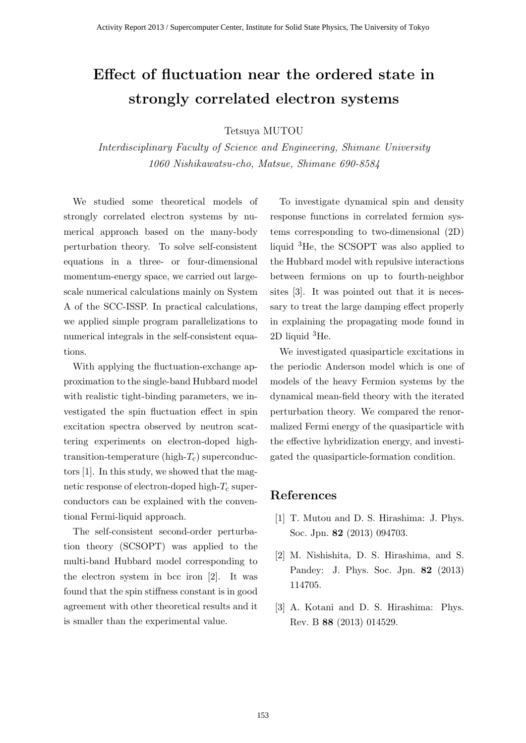# **Effect of fluctuation near the ordered state in strongly correlated electron systems**

Tetsuya MUTOU

*Interdisciplinary Faculty of Science and Engineering, Shimane University 1060 Nishikawatsu-cho, Matsue, Shimane 690-8584*

We studied some theoretical models of strongly correlated electron systems by numerical approach based on the many-body perturbation theory. To solve self-consistent equations in a three- or four-dimensional momentum-energy space, we carried out largescale numerical calculations mainly on System A of the SCC-ISSP. In practical calculations, we applied simple program parallelizations to numerical integrals in the self-consistent equations.

With applying the fluctuation-exchange approximation to the single-band Hubbard model with realistic tight-binding parameters, we investigated the spin fluctuation effect in spin excitation spectra observed by neutron scattering experiments on electron-doped hightransition-temperature (high-*T*c) superconductors [1]. In this study, we showed that the magnetic response of electron-doped high- $T_c$  superconductors can be explained with the conventional Fermi-liquid approach.

The self-consistent second-order perturbation theory (SCSOPT) was applied to the multi-band Hubbard model corresponding to the electron system in bcc iron [2]. It was found that the spin stiffness constant is in good agreement with other theoretical results and it is smaller than the experimental value.

To investigate dynamical spin and density response functions in correlated fermion systems corresponding to two-dimensional (2D) liquid <sup>3</sup>He, the SCSOPT was also applied to the Hubbard model with repulsive interactions between fermions on up to fourth-neighbor sites [3]. It was pointed out that it is necessary to treat the large damping effect properly in explaining the propagating mode found in 2D liquid  ${}^{3}$ He.

We investigated quasiparticle excitations in the periodic Anderson model which is one of models of the heavy Fermion systems by the dynamical mean-field theory with the iterated perturbation theory. We compared the renormalized Fermi energy of the quasiparticle with the effective hybridization energy, and investigated the quasiparticle-formation condition.

- [1] T. Mutou and D. S. Hirashima: J. Phys. Soc. Jpn. **82** (2013) 094703.
- [2] M. Nishishita, D. S. Hirashima, and S. Pandey: J. Phys. Soc. Jpn. **82** (2013) 114705.
- [3] A. Kotani and D. S. Hirashima: Phys. Rev. B **88** (2013) 014529.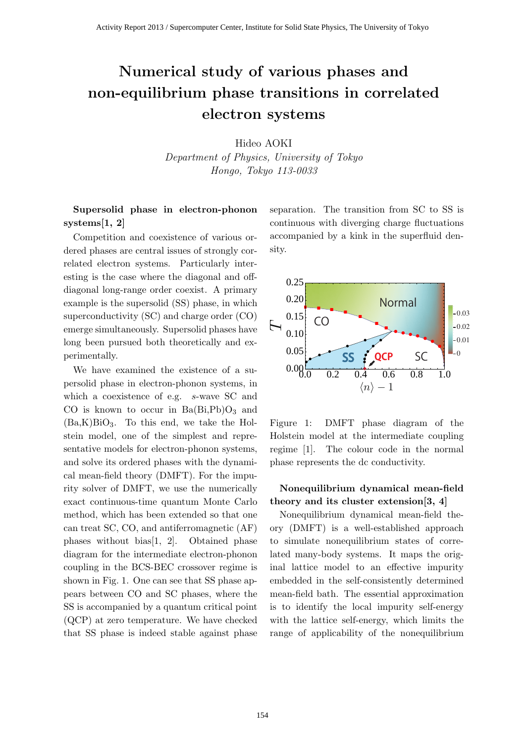# **Numerical study of various phases and non-equilibrium phase transitions in correlated electron systems**

Hideo AOKI

*Department of Physics, University of Tokyo Hongo, Tokyo 113-0033*

**Supersolid phase in electron-phonon systems[1, 2]**

Competition and coexistence of various ordered phases are central issues of strongly correlated electron systems. Particularly interesting is the case where the diagonal and offdiagonal long-range order coexist. A primary example is the supersolid (SS) phase, in which superconductivity (SC) and charge order (CO) emerge simultaneously. Supersolid phases have long been pursued both theoretically and experimentally.

We have examined the existence of a supersolid phase in electron-phonon systems, in which a coexistence of e.g. *s*-wave SC and CO is known to occur in  $Ba(Bi, Pb)O<sub>3</sub>$  and  $(Ba,K)BiO<sub>3</sub>$ . To this end, we take the Holstein model, one of the simplest and representative models for electron-phonon systems, and solve its ordered phases with the dynamical mean-field theory (DMFT). For the impurity solver of DMFT, we use the numerically exact continuous-time quantum Monte Carlo method, which has been extended so that one can treat SC, CO, and antiferromagnetic (AF) phases without bias[1, 2]. Obtained phase diagram for the intermediate electron-phonon coupling in the BCS-BEC crossover regime is shown in Fig. 1. One can see that SS phase appears between CO and SC phases, where the SS is accompanied by a quantum critical point (QCP) at zero temperature. We have checked that SS phase is indeed stable against phase separation. The transition from SC to SS is continuous with diverging charge fluctuations accompanied by a kink in the superfluid density.



Figure 1: DMFT phase diagram of the Holstein model at the intermediate coupling regime [1]. The colour code in the normal phase represents the dc conductivity.

### **Nonequilibrium dynamical mean-field theory and its cluster extension[3, 4]**

Nonequilibrium dynamical mean-field theory (DMFT) is a well-established approach to simulate nonequilibrium states of correlated many-body systems. It maps the original lattice model to an effective impurity embedded in the self-consistently determined mean-field bath. The essential approximation is to identify the local impurity self-energy with the lattice self-energy, which limits the range of applicability of the nonequilibrium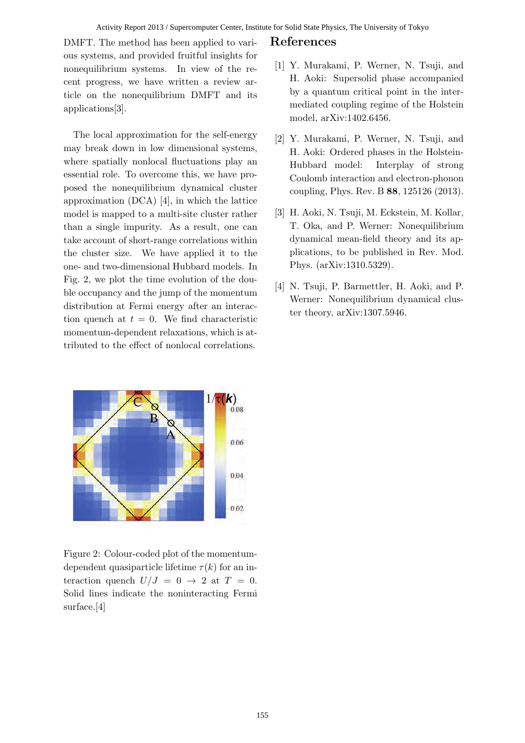#### Activity Report 2013 / Supercomputer Center, Institute for Solid State Physics, The University of Tokyo

DMFT. The method has been applied to various systems, and provided fruitful insights for nonequilibrium systems. In view of the recent progress, we have written a review article on the nonequilibrium DMFT and its applications[3].

The local approximation for the self-energy may break down in low dimensional systems, where spatially nonlocal fluctuations play an essential role. To overcome this, we have proposed the nonequilibrium dynamical cluster approximation (DCA) [4], in which the lattice model is mapped to a multi-site cluster rather than a single impurity. As a result, one can take account of short-range correlations within the cluster size. We have applied it to the one- and two-dimensional Hubbard models. In Fig. 2, we plot the time evolution of the double occupancy and the jump of the momentum distribution at Fermi energy after an interaction quench at  $t = 0$ . We find characteristic momentum-dependent relaxations, which is attributed to the effect of nonlocal correlations.



Figure 2: Colour-coded plot of the momentumdependent quasiparticle lifetime  $\tau(k)$  for an interaction quench  $U/J = 0 \rightarrow 2$  at  $T = 0$ . Solid lines indicate the noninteracting Fermi surface.[4]

- [1] Y. Murakami, P. Werner, N. Tsuji, and H. Aoki: Supersolid phase accompanied by a quantum critical point in the intermediated coupling regime of the Holstein model, arXiv:1402.6456.
- [2] Y. Murakami, P. Werner, N. Tsuji, and H. Aoki: Ordered phases in the Holstein-Hubbard model: Interplay of strong Coulomb interaction and electron-phonon coupling, Phys. Rev. B **88**, 125126 (2013).
- [3] H. Aoki, N. Tsuji, M. Eckstein, M. Kollar, T. Oka, and P. Werner: Nonequilibrium dynamical mean-field theory and its applications, to be published in Rev. Mod. Phys. (arXiv:1310.5329).
- [4] N. Tsuji, P. Barmettler, H. Aoki, and P. Werner: Nonequilibrium dynamical cluster theory, arXiv:1307.5946.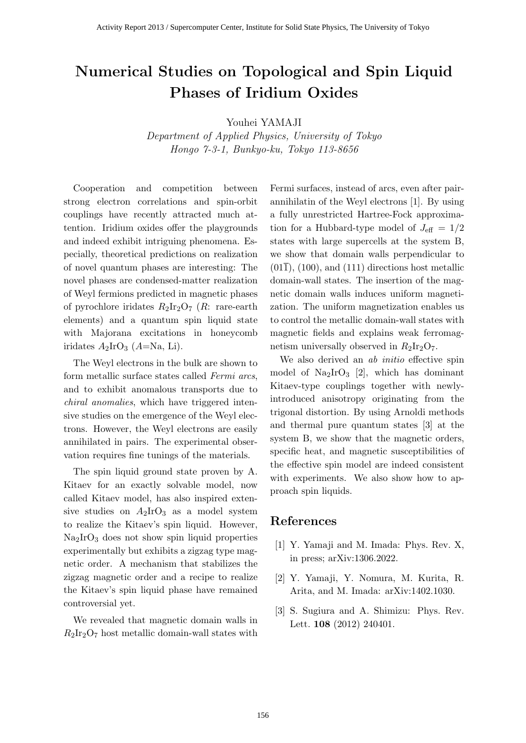# **Numerical Studies on Topological and Spin Liquid Phases of Iridium Oxides**

Youhei YAMAJI

*Department of Applied Physics, University of Tokyo Hongo 7-3-1, Bunkyo-ku, Tokyo 113-8656*

Cooperation and competition between strong electron correlations and spin-orbit couplings have recently attracted much attention. Iridium oxides offer the playgrounds and indeed exhibit intriguing phenomena. Especially, theoretical predictions on realization of novel quantum phases are interesting: The novel phases are condensed-matter realization of Weyl fermions predicted in magnetic phases of pyrochlore iridates  $R_2Ir_2O_7$  (*R*: rare-earth elements) and a quantum spin liquid state with Majorana excitations in honeycomb iridates  $A_2$ IrO<sub>3</sub> ( $A$ =Na, Li).

The Weyl electrons in the bulk are shown to form metallic surface states called *Fermi arcs*, and to exhibit anomalous transports due to *chiral anomalies*, which have triggered intensive studies on the emergence of the Weyl electrons. However, the Weyl electrons are easily annihilated in pairs. The experimental observation requires fine tunings of the materials.

The spin liquid ground state proven by A. Kitaev for an exactly solvable model, now called Kitaev model, has also inspired extensive studies on  $A_2IrO_3$  as a model system to realize the Kitaev's spin liquid. However, Na2IrO<sup>3</sup> does not show spin liquid properties experimentally but exhibits a zigzag type magnetic order. A mechanism that stabilizes the zigzag magnetic order and a recipe to realize the Kitaev's spin liquid phase have remained controversial yet.

We revealed that magnetic domain walls in  $R_2Ir_2O_7$  host metallic domain-wall states with Fermi surfaces, instead of arcs, even after pairannihilatin of the Weyl electrons [1]. By using a fully unrestricted Hartree-Fock approximation for a Hubbard-type model of  $J_{\text{eff}} = 1/2$ states with large supercells at the system B, we show that domain walls perpendicular to  $(01\bar{1})$ ,  $(100)$ , and  $(111)$  directions host metallic domain-wall states. The insertion of the magnetic domain walls induces uniform magnetization. The uniform magnetization enables us to control the metallic domain-wall states with magnetic fields and explains weak ferromagnetism universally observed in  $R_2Ir_2O_7$ .

We also derived an *ab initio* effective spin model of  $\text{Na}_2\text{IrO}_3$  [2], which has dominant Kitaev-type couplings together with newlyintroduced anisotropy originating from the trigonal distortion. By using Arnoldi methods and thermal pure quantum states [3] at the system B, we show that the magnetic orders, specific heat, and magnetic susceptibilities of the effective spin model are indeed consistent with experiments. We also show how to approach spin liquids.

- [1] Y. Yamaji and M. Imada: Phys. Rev. X, in press; arXiv:1306.2022.
- [2] Y. Yamaji, Y. Nomura, M. Kurita, R. Arita, and M. Imada: arXiv:1402.1030.
- [3] S. Sugiura and A. Shimizu: Phys. Rev. Lett. **108** (2012) 240401.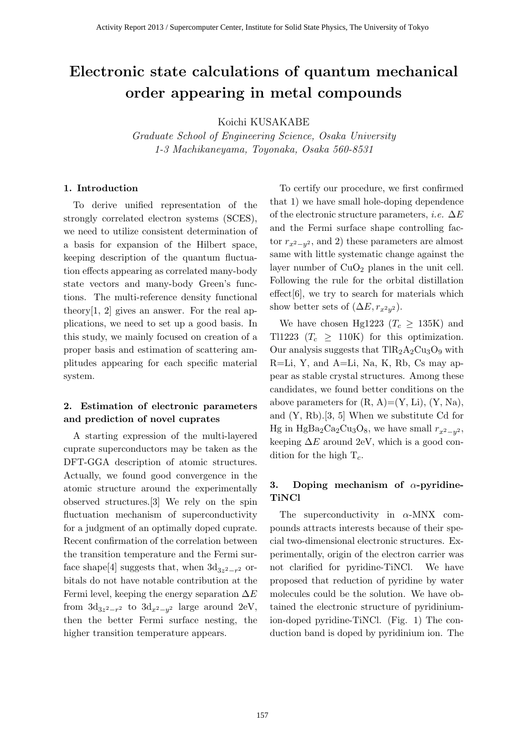# **Electronic state calculations of quantum mechanical order appearing in metal compounds**

Koichi KUSAKABE

*Graduate School of Engineering Science, Osaka University 1-3 Machikaneyama, Toyonaka, Osaka 560-8531*

#### **1. Introduction**

To derive unified representation of the strongly correlated electron systems (SCES), we need to utilize consistent determination of a basis for expansion of the Hilbert space, keeping description of the quantum fluctuation effects appearing as correlated many-body state vectors and many-body Green's functions. The multi-reference density functional theory[1, 2] gives an answer. For the real applications, we need to set up a good basis. In this study, we mainly focused on creation of a proper basis and estimation of scattering amplitudes appearing for each specific material system.

### **2. Estimation of electronic parameters and prediction of novel cuprates**

A starting expression of the multi-layered cuprate superconductors may be taken as the DFT-GGA description of atomic structures. Actually, we found good convergence in the atomic structure around the experimentally observed structures.[3] We rely on the spin fluctuation mechanism of superconductivity for a judgment of an optimally doped cuprate. Recent confirmation of the correlation between the transition temperature and the Fermi surface shape<sup>[4]</sup> suggests that, when  $3d_{3z^2-r^2}$  orbitals do not have notable contribution at the Fermi level, keeping the energy separation ∆*E* from  $3d_{3z^2-r^2}$  to  $3d_{x^2-y^2}$  large around 2eV, then the better Fermi surface nesting, the higher transition temperature appears.

To certify our procedure, we first confirmed that 1) we have small hole-doping dependence of the electronic structure parameters, *i.e.* ∆*E* and the Fermi surface shape controlling factor  $r_{x^2-y^2}$ , and 2) these parameters are almost same with little systematic change against the layer number of  $CuO<sub>2</sub>$  planes in the unit cell. Following the rule for the orbital distillation  $effect[6]$ , we try to search for materials which show better sets of  $(\Delta E, r_{x^2y^2})$ .

We have chosen Hg1223 ( $T_c \geq 135K$ ) and Tl1223 ( $T_c \geq 110$ K) for this optimization. Our analysis suggests that  $TIR<sub>2</sub>A<sub>2</sub>Cu<sub>3</sub>O<sub>9</sub>$  with R=Li, Y, and A=Li, Na, K, Rb, Cs may appear as stable crystal structures. Among these candidates, we found better conditions on the above parameters for  $(R, A)=(Y, Li), (Y, Na),$ and (Y, Rb).[3, 5] When we substitute Cd for Hg in HgBa<sub>2</sub>Ca<sub>2</sub>Cu<sub>3</sub>O<sub>8</sub>, we have small  $r_{x^2-y^2}$ , keeping  $\Delta E$  around 2eV, which is a good condition for the high T*c*.

### **3. Doping mechanism of** *α***-pyridine-TiNCl**

The superconductivity in *α*-MNX compounds attracts interests because of their special two-dimensional electronic structures. Experimentally, origin of the electron carrier was not clarified for pyridine-TiNCl. We have proposed that reduction of pyridine by water molecules could be the solution. We have obtained the electronic structure of pyridiniumion-doped pyridine-TiNCl. (Fig. 1) The conduction band is doped by pyridinium ion. The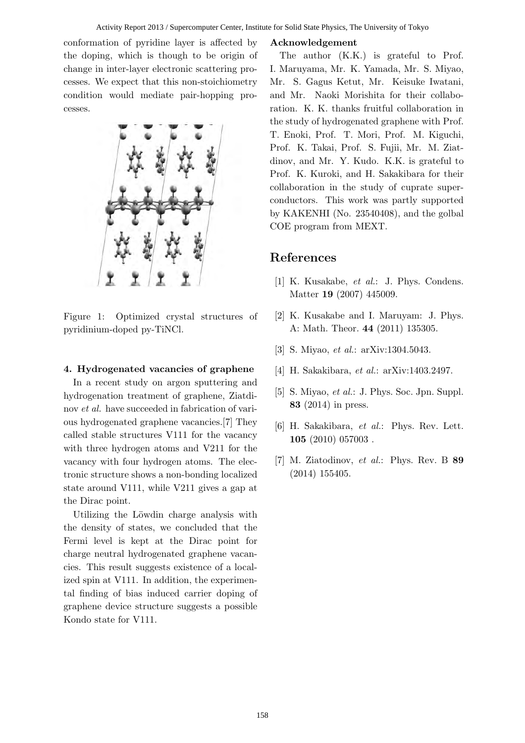conformation of pyridine layer is affected by the doping, which is though to be origin of change in inter-layer electronic scattering processes. We expect that this non-stoichiometry condition would mediate pair-hopping processes.



Figure 1: Optimized crystal structures of pyridinium-doped py-TiNCl.

#### **4. Hydrogenated vacancies of graphene**

In a recent study on argon sputtering and hydrogenation treatment of graphene, Ziatdinov *et al.* have succeeded in fabrication of various hydrogenated graphene vacancies.[7] They called stable structures V111 for the vacancy with three hydrogen atoms and V211 for the vacancy with four hydrogen atoms. The electronic structure shows a non-bonding localized state around V111, while V211 gives a gap at the Dirac point.

Utilizing the Löwdin charge analysis with the density of states, we concluded that the Fermi level is kept at the Dirac point for charge neutral hydrogenated graphene vacancies. This result suggests existence of a localized spin at V111. In addition, the experimental finding of bias induced carrier doping of graphene device structure suggests a possible Kondo state for V111.

#### **Acknowledgement**

The author (K.K.) is grateful to Prof. I. Maruyama, Mr. K. Yamada, Mr. S. Miyao, Mr. S. Gagus Ketut, Mr. Keisuke Iwatani, and Mr. Naoki Morishita for their collaboration. K. K. thanks fruitful collaboration in the study of hydrogenated graphene with Prof. T. Enoki, Prof. T. Mori, Prof. M. Kiguchi, Prof. K. Takai, Prof. S. Fujii, Mr. M. Ziatdinov, and Mr. Y. Kudo. K.K. is grateful to Prof. K. Kuroki, and H. Sakakibara for their collaboration in the study of cuprate superconductors. This work was partly supported by KAKENHI (No. 23540408), and the golbal COE program from MEXT.

- [1] K. Kusakabe, *et al.*: J. Phys. Condens. Matter **19** (2007) 445009.
- [2] K. Kusakabe and I. Maruyam: J. Phys. A: Math. Theor. **44** (2011) 135305.
- [3] S. Miyao, *et al.*: arXiv:1304.5043.
- [4] H. Sakakibara, *et al.*: arXiv:1403.2497.
- [5] S. Miyao, *et al.*: J. Phys. Soc. Jpn. Suppl. **83** (2014) in press.
- [6] H. Sakakibara, *et al.*: Phys. Rev. Lett. **105** (2010) 057003 .
- [7] M. Ziatodinov, *et al.*: Phys. Rev. B **89** (2014) 155405.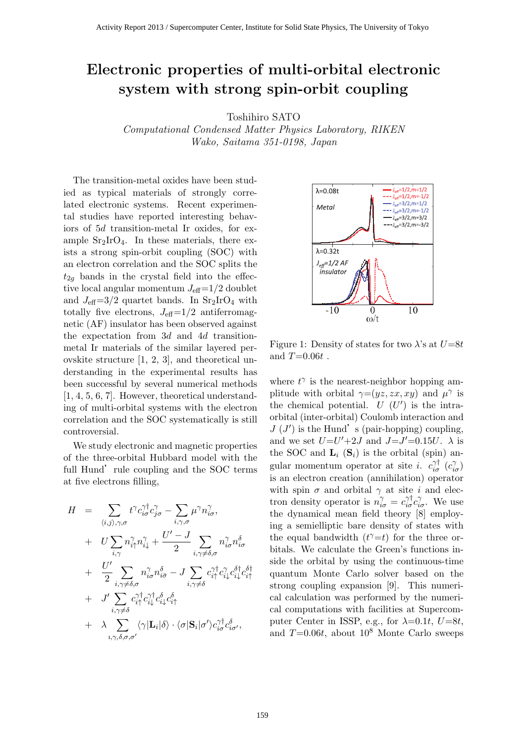# Electronic properties of multi-orbital electronic system with strong spin-orbit coupling

Toshihiro SATO

Computational Condensed Matter Physics Laboratory, RIKEN Wako, Saitama 351-0198, Japan

The transition-metal oxides have been studied as typical materials of strongly correlated electronic systems. Recent experimental studies have reported interesting behaviors of 5d transition-metal Ir oxides, for example  $Sr<sub>2</sub>IrO<sub>4</sub>$ . In these materials, there exists a strong spin-orbit coupling (SOC) with an electron correlation and the SOC splits the  $t_{2a}$  bands in the crystal field into the effective local angular momentum  $J_{\text{eff}}=1/2$  doublet and  $J_{\text{eff}}=3/2$  quartet bands. In  $\text{Sr}_2\text{IrO}_4$  with totally five electrons,  $J_{\text{eff}}=1/2$  antiferromagnetic (AF) insulator has been observed against the expectation from 3d and 4d transitionmetal Ir materials of the similar layered perovskite structure [1, 2, 3], and theoretical understanding in the experimental results has been successful by several numerical methods [1, 4, 5, 6, 7]. However, theoretical understanding of multi-orbital systems with the electron correlation and the SOC systematically is still controversial.

We study electronic and magnetic properties of the three-orbital Hubbard model with the full Hund' rule coupling and the SOC terms at five electrons filling,

$$
H = \sum_{\langle i,j\rangle,\gamma,\sigma} t^{\gamma} c_{i\sigma}^{\gamma\dagger} c_{j\sigma}^{\gamma} - \sum_{i,\gamma,\sigma} \mu^{\gamma} n_{i\sigma}^{\gamma},
$$
  
+ 
$$
U \sum_{i,\gamma} n_{i\uparrow}^{\gamma} n_{i\downarrow}^{\gamma} + \frac{U' - J}{2} \sum_{i,\gamma \neq \delta,\sigma} n_{i\sigma}^{\gamma} n_{i\sigma}^{\delta}
$$
  
+ 
$$
\frac{U'}{2} \sum_{i,\gamma \neq \delta,\sigma} n_{i\sigma}^{\gamma} n_{i\bar{\sigma}}^{\delta} - J \sum_{i,\gamma \neq \delta} c_{i\uparrow}^{\gamma\dagger} c_{i\downarrow}^{\gamma} c_{i\downarrow}^{\delta\dagger} c_{i\uparrow}^{\delta\dagger}
$$
  
+ 
$$
J' \sum_{i,\gamma \neq \delta} c_{i\uparrow}^{\gamma\dagger} c_{i\downarrow}^{\gamma\dagger} c_{i\downarrow}^{\delta} c_{i\uparrow}^{\delta}
$$
  
+ 
$$
\lambda \sum_{i,\gamma,\delta,\sigma,\sigma'} \langle \gamma | \mathbf{L}_i | \delta \rangle \cdot \langle \sigma | \mathbf{S}_i | \sigma' \rangle c_{i\sigma}^{\gamma\dagger} c_{i\sigma'}^{\delta},
$$



Figure 1: Density of states for two  $\lambda$ 's at  $U=8t$ and  $T=0.06t$ .

where  $t^{\gamma}$  is the nearest-neighbor hopping amplitude with orbital  $\gamma=(yz, zx, xy)$  and  $\mu^{\gamma}$  is the chemical potential.  $U(U')$  is the intraorbital (inter-orbital) Coulomb interaction and  $J(J')$  is the Hund's (pair-hopping) coupling, and we set  $U=U'+2J$  and  $J=J'=0.15U$ .  $\lambda$  is the SOC and  $\mathbf{L}_i$  ( $\mathbf{S}_i$ ) is the orbital (spin) angular momentum operator at site *i*.  $c_{i\sigma}^{\gamma\dagger}$   $(c_{i\sigma}^{\gamma})$ is an electron creation (annihilation) operator with spin  $\sigma$  and orbital  $\gamma$  at site i and electron density operator is  $n_{i\sigma}^{\gamma} = c_{i\sigma}^{\gamma \dagger} c_{i\sigma}^{\gamma}$ . We use the dynamical mean field theory [8] employing a semielliptic bare density of states with the equal bandwidth  $(t^{\gamma}=t)$  for the three orbitals. We calculate the Green's functions inside the orbital by using the continuous-time quantum Monte Carlo solver based on the strong coupling expansion [9]. This numerical calculation was performed by the numerical computations with facilities at Supercomputer Center in ISSP, e.g., for  $\lambda=0.1t$ ,  $U=8t$ , and  $T=0.06t$ , about  $10^8$  Monte Carlo sweeps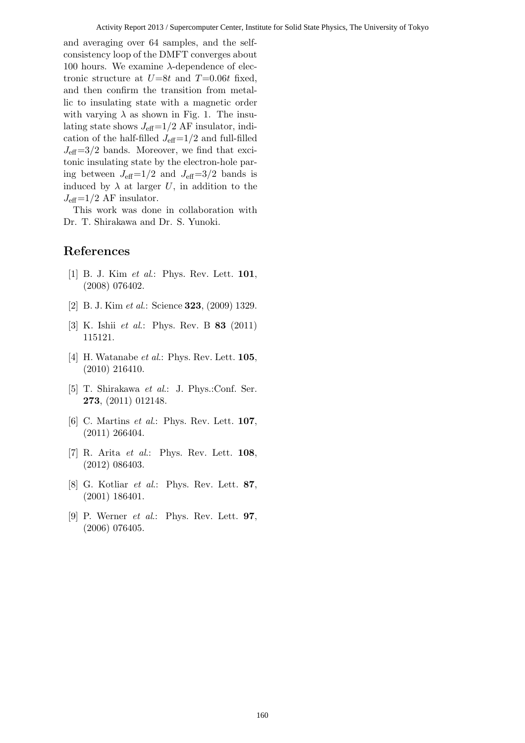and averaging over 64 samples, and the selfconsistency loop of the DMFT converges about 100 hours. We examine  $λ$ -dependence of electronic structure at  $U=8t$  and  $T=0.06t$  fixed, and then confirm the transition from metallic to insulating state with a magnetic order with varying  $\lambda$  as shown in Fig. 1. The insulating state shows  $J_{\text{eff}}=1/2$  AF insulator, indication of the half-filled  $J_{\text{eff}}=1/2$  and full-filled  $J_{\text{eff}}=3/2$  bands. Moreover, we find that excitonic insulating state by the electron-hole paring between  $J_{\text{eff}}=1/2$  and  $J_{\text{eff}}=3/2$  bands is induced by  $\lambda$  at larger U, in addition to the  $J_{\text{eff}}$ =1/2 AF insulator.

This work was done in collaboration with Dr. T. Shirakawa and Dr. S. Yunoki.

- [1] B. J. Kim et al.: Phys. Rev. Lett. 101, (2008) 076402.
- [2] B. J. Kim et al.: Science 323, (2009) 1329.
- [3] K. Ishii *et al.*: Phys. Rev. B **83** (2011) 115121.
- [4] H. Watanabe *et al.*: Phys. Rev. Lett.  $105$ , (2010) 216410.
- [5] T. Shirakawa et al.: J. Phys.:Conf. Ser. 273, (2011) 012148.
- [6] C. Martins *et al.*: Phys. Rev. Lett. **107**, (2011) 266404.
- [7] R. Arita et al.: Phys. Rev. Lett.  $108$ , (2012) 086403.
- [8] G. Kotliar et al.: Phys. Rev. Lett. 87, (2001) 186401.
- [9] P. Werner *et al.*: Phys. Rev. Lett. **97**, (2006) 076405.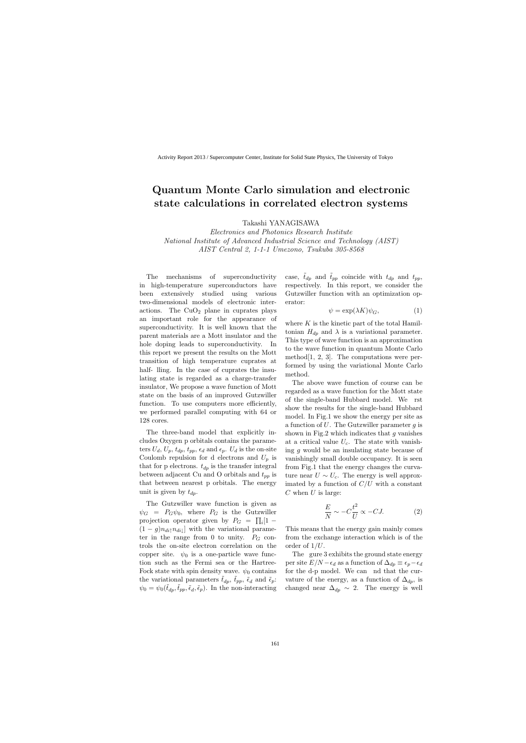## **Quantum Monte Carlo simulation and electronic state calculations in correlated electron systems**

Takashi YANAGISAWA

*Electronics and Photonics Research Institute National Institute of Advanced Industrial Science and Technology (AIST) AIST Central 2, 1-1-1 Umezono, Tsukuba 305-8568*

The mechanisms of superconductivity in high-temperature superconductors have been extensively studied using various two-dimensional models of electronic interactions. The  $CuO<sub>2</sub>$  plane in cuprates plays an important role for the appearance of superconductivity. It is well known that the parent materials are a Mott insulator and the hole doping leads to superconductivity. In this report we present the results on the Mott transition of high temperature cuprates at half-Iling. In the case of cuprates the insulating state is regarded as a charge-transfer insulator, We propose a wave function of Mott state on the basis of an improved Gutzwiller function. To use computers more efficiently, we performed parallel computing with 64 or 128 cores.

The three-band model that explicitly includes Oxygen p orbitals contains the parameters  $U_d$ ,  $U_p$ ,  $t_{dp}$ ,  $t_{pp}$ ,  $\epsilon_d$  and  $\epsilon_p$ .  $U_d$  is the on-site Coulomb repulsion for d electrons and  $U_p$  is that for p electrons.  $t_{dp}$  is the transfer integral between adjacent Cu and O orbitals and *tpp* is that between nearest p orbitals. The energy unit is given by *tdp*.

The Gutzwiller wave function is given as  $\psi_G = P_G \psi_0$ , where  $P_G$  is the Gutzwiller projection operator given by  $P_G = \prod_i [1 (1 - g)n_{di}n_{di}$  with the variational parameter in the range from 0 to unity.  $P_G$  controls the on-site electron correlation on the copper site.  $\psi_0$  is a one-particle wave function such as the Fermi sea or the Hartree-Fock state with spin density wave.  $\psi_0$  contains the variational parameters  $\tilde{t}_{dp}$ ,  $\tilde{t}_{pp}$ ,  $\tilde{\epsilon}_d$  and  $\tilde{\epsilon}_p$ :  $\psi_0 = \psi_0(\tilde{t}_{dp}, \tilde{t}_{pp}, \tilde{\epsilon}_d, \tilde{\epsilon}_p)$ . In the non-interacting case,  $\tilde{t}_{dp}$  and  $\tilde{t}_{pp}$  coincide with  $t_{dp}$  and  $t_{pp}$ , respectively. In this report, we consider the Gutzwiller function with an optimization operator:

$$
\psi = \exp(\lambda K)\psi_G,\tag{1}
$$

where K is the kinetic part of the total Hamiltonian  $H_{dp}$  and  $\lambda$  is a variational parameter. This type of wave function is an approximation to the wave function in quantum Monte Carlo method $[1, 2, 3]$ . The computations were performed by using the variational Monte Carlo method.

The above wave function of course can be regarded as a wave function for the Mott state of the single-band Hubbard model. We rst show the results for the single-band Hubbard model. In Fig.1 we show the energy per site as a function of *U*. The Gutzwiller parameter *g* is shown in Fig.2 which indicates that *g* vanishes at a critical value  $U_c$ . The state with vanishing *g* would be an insulating state because of vanishingly small double occupancy. It is seen from Fig.1 that the energy changes the curvature near  $U \sim U_c$ . The energy is well approximated by a function of *C/U* with a constant *C* when *U* is large:

$$
\frac{E}{N} \sim -C\frac{t^2}{U} \propto -CJ.
$$
 (2)

This means that the energy gain mainly comes from the exchange interaction which is of the order of 1*/U*.

The gure 3 exhibits the ground state energy per site  $E/N - \epsilon_d$  as a function of  $\Delta_{dp} \equiv \epsilon_p - \epsilon_d$ for the d-p model. We can ind that the curvature of the energy, as a function of  $\Delta_{dp}$ , is changed near  $\Delta_{dp} \sim 2$ . The energy is well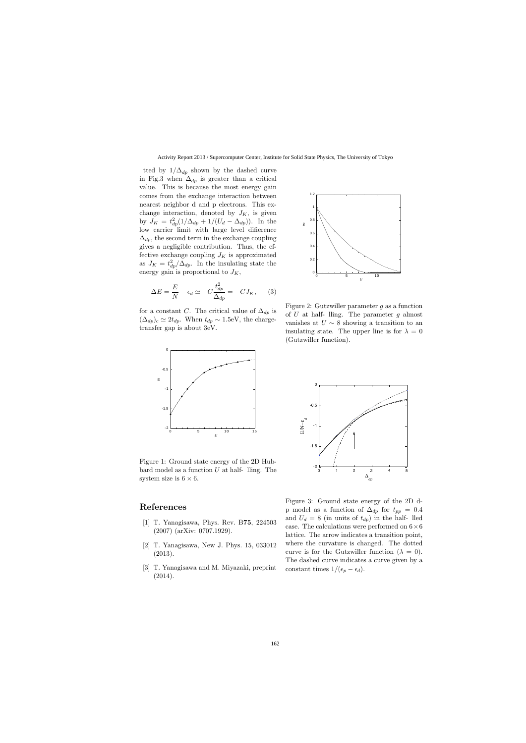tted by  $1/\Delta_{dp}$  shown by the dashed curve in Fig.3 when  $\Delta_{dp}$  is greater than a critical value. This is because the most energy gain comes from the exchange interaction between nearest neighbor d and p electrons. This exchange interaction, denoted by  $J_K$ , is given by  $J_K = t_{dp}^2(1/\Delta_{dp} + 1/(U_d - \Delta_{dp}))$ . In the low carrier limit with large level di erence  $\Delta_{dp}$ , the second term in the exchange coupling gives a negligible contribution. Thus, the effective exchange coupling  $J_K$  is approximated as  $J_K = t_{dp}^2/\Delta_{dp}$ . In the insulating state the energy gain is proportional to *JK*,

$$
\Delta E = \frac{E}{N} - \epsilon_d \simeq -C \frac{t_{dp}^2}{\Delta_{dp}} = -C J_K, \qquad (3)
$$

for a constant *C*. The critical value of  $\Delta_{dp}$  is  $(\Delta_{dp})_c \simeq 2t_{dp}$ . When  $t_{dp} \sim 1.5$ eV, the chargetransfer gap is about 3eV.



Figure 1: Ground state energy of the 2D Hubbard model as a function  $U$  at half- $\lim_{\mathcal{L}}$ . The system size is  $6 \times 6$ .

- [1] T. Yanagisawa, Phys. Rev. B**75**, 224503 (2007) (arXiv: 0707.1929).
- [2] T. Yanagisawa, New J. Phys. 15, 033012 (2013).
- [3] T. Yanagisawa and M. Miyazaki, preprint



Figure 2: Gutzwiller parameter *g* as a function of *U* at half-lling. The parameter *q* almost vanishes at  $U \sim 8$  showing a transition to an insulating state. The upper line is for  $\lambda = 0$ (Gutzwiller function).



Figure 3: Ground state energy of the 2D dp model as a function of  $\Delta_{dp}$  for  $t_{pp} = 0.4$ and  $U_d = 8$  (in units of  $t_{dp}$ ) in the half-lled case. The calculations were performed on 6*×*6 lattice. The arrow indicates a transition point, where the curvature is changed. The dotted curve is for the Gutzwiller function  $(\lambda = 0)$ . The dashed curve indicates a curve given by a constant times  $1/(\epsilon_p - \epsilon_d)$ .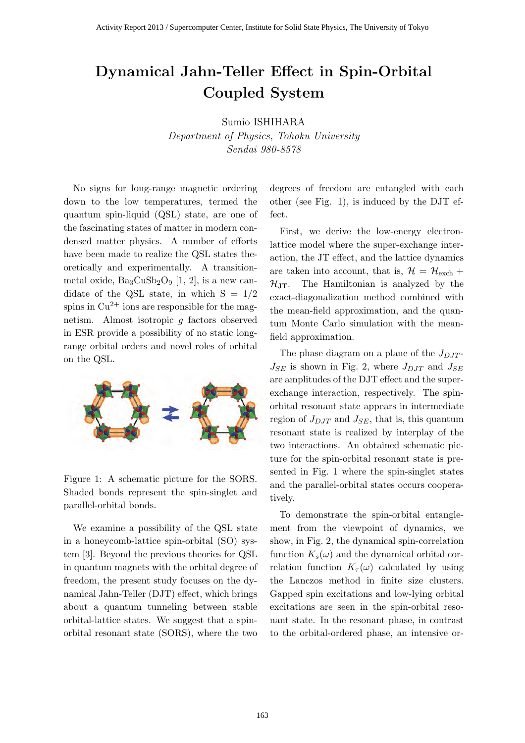# **Dynamical Jahn-Teller Effect in Spin-Orbital Coupled System**

Sumio ISHIHARA *Department of Physics, Tohoku University*

*Sendai 980-8578*

No signs for long-range magnetic ordering down to the low temperatures, termed the quantum spin-liquid (QSL) state, are one of the fascinating states of matter in modern condensed matter physics. A number of efforts have been made to realize the QSL states theoretically and experimentally. A transitionmetal oxide,  $Ba<sub>3</sub>CuSb<sub>2</sub>O<sub>9</sub>$  [1, 2], is a new candidate of the QSL state, in which  $S = 1/2$ spins in  $Cu^{2+}$  ions are responsible for the magnetism. Almost isotropic *g* factors observed in ESR provide a possibility of no static longrange orbital orders and novel roles of orbital on the QSL.



Figure 1: A schematic picture for the SORS. Shaded bonds represent the spin-singlet and parallel-orbital bonds.

We examine a possibility of the QSL state in a honeycomb-lattice spin-orbital (SO) system [3]. Beyond the previous theories for QSL in quantum magnets with the orbital degree of freedom, the present study focuses on the dynamical Jahn-Teller (DJT) effect, which brings about a quantum tunneling between stable orbital-lattice states. We suggest that a spinorbital resonant state (SORS), where the two degrees of freedom are entangled with each other (see Fig. 1), is induced by the DJT effect.

First, we derive the low-energy electronlattice model where the super-exchange interaction, the JT effect, and the lattice dynamics are taken into account, that is,  $\mathcal{H} = \mathcal{H}_{\text{exch}} +$  $\mathcal{H}_{\text{JT}}$ . The Hamiltonian is analyzed by the exact-diagonalization method combined with the mean-field approximation, and the quantum Monte Carlo simulation with the meanfield approximation.

The phase diagram on a plane of the  $J_{D,IT}$ - $J_{SE}$  is shown in Fig. 2, where  $J_{DJT}$  and  $J_{SE}$ are amplitudes of the DJT effect and the superexchange interaction, respectively. The spinorbital resonant state appears in intermediate region of  $J_{DJT}$  and  $J_{SE}$ , that is, this quantum resonant state is realized by interplay of the two interactions. An obtained schematic picture for the spin-orbital resonant state is presented in Fig. 1 where the spin-singlet states and the parallel-orbital states occurs cooperatively.

To demonstrate the spin-orbital entanglement from the viewpoint of dynamics, we show, in Fig. 2, the dynamical spin-correlation function  $K_s(\omega)$  and the dynamical orbital correlation function  $K_{\tau}(\omega)$  calculated by using the Lanczos method in finite size clusters. Gapped spin excitations and low-lying orbital excitations are seen in the spin-orbital resonant state. In the resonant phase, in contrast to the orbital-ordered phase, an intensive or-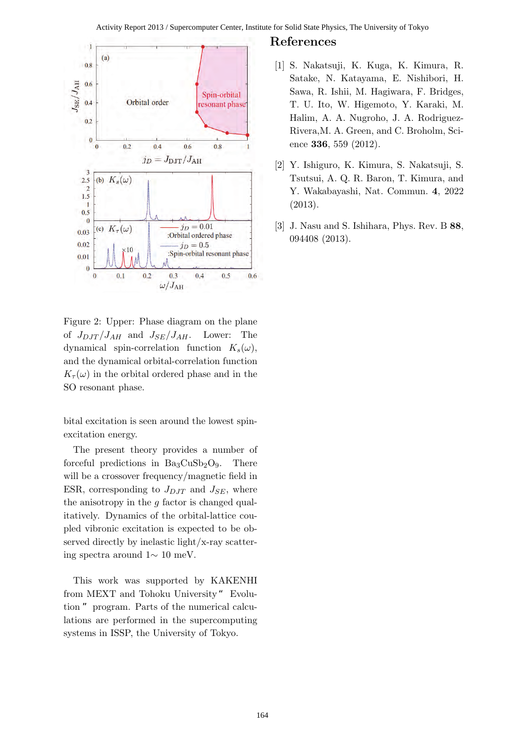

Figure 2: Upper: Phase diagram on the plane of  $J_{DJT}/J_{AH}$  and  $J_{SE}/J_{AH}$ . Lower: The dynamical spin-correlation function  $K_s(\omega)$ , and the dynamical orbital-correlation function  $K_{\tau}(\omega)$  in the orbital ordered phase and in the SO resonant phase.

bital excitation is seen around the lowest spinexcitation energy.

The present theory provides a number of forceful predictions in  $Ba<sub>3</sub>CuSb<sub>2</sub>O<sub>9</sub>$ . There will be a crossover frequency/magnetic field in ESR, corresponding to  $J_{DJT}$  and  $J_{SE}$ , where the anisotropy in the *g* factor is changed qualitatively. Dynamics of the orbital-lattice coupled vibronic excitation is expected to be observed directly by inelastic light/x-ray scattering spectra around 1*∼* 10 meV.

This work was supported by KAKENHI from MEXT and Tohoku University" Evolution " program. Parts of the numerical calculations are performed in the supercomputing systems in ISSP, the University of Tokyo.

- [1] S. Nakatsuji, K. Kuga, K. Kimura, R. Satake, N. Katayama, E. Nishibori, H. Sawa, R. Ishii, M. Hagiwara, F. Bridges, T. U. Ito, W. Higemoto, Y. Karaki, M. Halim, A. A. Nugroho, J. A. Rodriguez-Rivera,M. A. Green, and C. Broholm, Science **336**, 559 (2012).
- [2] Y. Ishiguro, K. Kimura, S. Nakatsuji, S. Tsutsui, A. Q. R. Baron, T. Kimura, and Y. Wakabayashi, Nat. Commun. **4**, 2022 (2013).
- [3] J. Nasu and S. Ishihara, Phys. Rev. B **88**, 094408 (2013).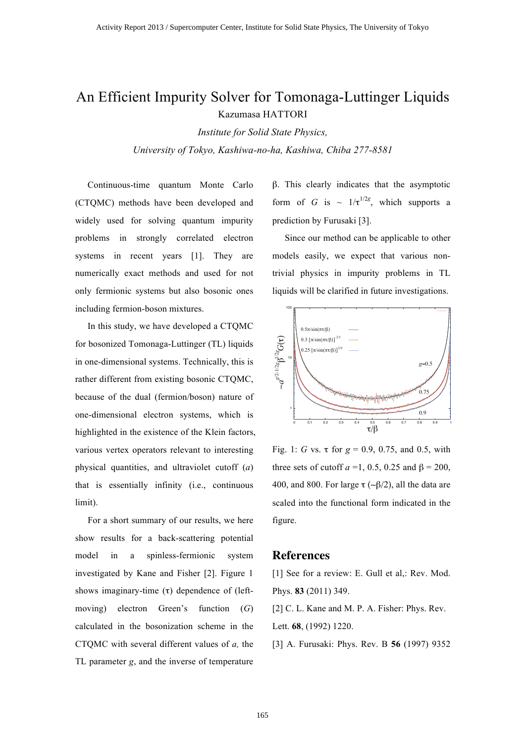## An Efficient Impurity Solver for Tomonaga-Luttinger Liquids Kazumasa HATTORI

*Institute for Solid State Physics, University of Tokyo, Kashiwa-no-ha, Kashiwa, Chiba 277-8581*

Continuous-time quantum Monte Carlo (CTQMC) methods have been developed and widely used for solving quantum impurity problems in strongly correlated electron systems in recent years [1]. They are numerically exact methods and used for not only fermionic systems but also bosonic ones including fermion-boson mixtures.

In this study, we have developed a CTQMC for bosonized Tomonaga-Luttinger (TL) liquids in one-dimensional systems. Technically, this is rather different from existing bosonic CTQMC, because of the dual (fermion/boson) nature of one-dimensional electron systems, which is highlighted in the existence of the Klein factors, various vertex operators relevant to interesting physical quantities, and ultraviolet cutoff (*a*) that is essentially infinity (i.e., continuous limit).

For a short summary of our results, we here show results for a back-scattering potential model in a spinless-fermionic system investigated by Kane and Fisher [2]. Figure 1 shows imaginary-time  $(\tau)$  dependence of (leftmoving) electron Green's function (*G*) calculated in the bosonization scheme in the CTQMC with several different values of *a,* the TL parameter *g*, and the inverse of temperature

β. This clearly indicates that the asymptotic form of *G* is  $\sim 1/\tau^{1/2g}$ , which supports a prediction by Furusaki [3].

Since our method can be applicable to other models easily, we expect that various nontrivial physics in impurity problems in TL liquids will be clarified in future investigations.



Fig. 1: *G* vs.  $\tau$  for  $g = 0.9, 0.75,$  and 0.5, with three sets of cutoff  $a = 1, 0.5, 0.25$  and  $\beta = 200$ , 400, and 800. For large  $\tau$  (~ $\beta$ /2), all the data are scaled into the functional form indicated in the figure.

### **References**

[1] See for a review: E. Gull et al,: Rev. Mod. Phys. **83** (2011) 349.

[2] C. L. Kane and M. P. A. Fisher: Phys. Rev. Lett. **68**, (1992) 1220.

[3] A. Furusaki: Phys. Rev. B **56** (1997) 9352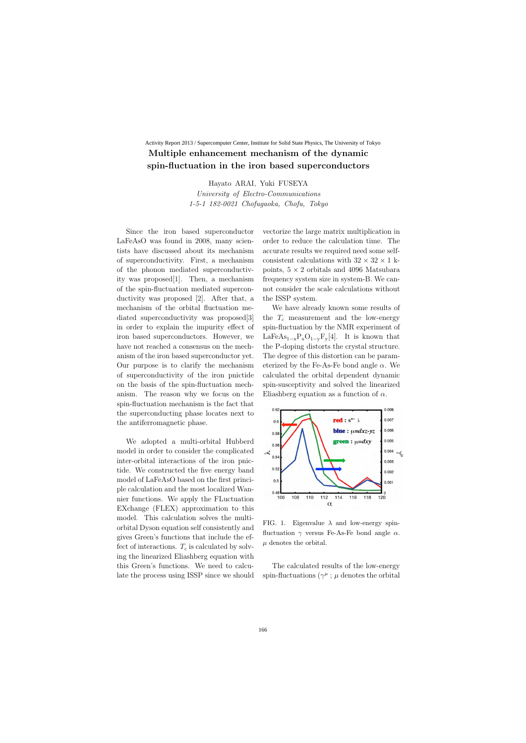## **Multiple enhancement mechanism of the dynamic spin-fluctuation in the iron based superconductors** Activity Report 2013 / Supercomputer Center, Institute for Solid State Physics, The University of Tokyo

Hayato ARAI, Yuki FUSEYA

*University of Electro-Communications 1-5-1 182-0021 Chofugaoka, Chofu, Tokyo*

Since the iron based superconductor LaFeAsO was found in 2008, many scientists have discussed about its mechanism of superconductivity. First, a mechanism of the phonon mediated superconductivity was proposed[1]. Then, a mechanism of the spin-fluctuation mediated superconductivity was proposed [2]. After that, a mechanism of the orbital fluctuation mediated superconductivity was proposed[3] in order to explain the impurity effect of iron based superconductors. However, we have not reached a consensus on the mechanism of the iron based superconductor yet. Our purpose is to clarify the mechanism of superconductivity of the iron pnictide on the basis of the spin-fluctuation mechanism. The reason why we focus on the spin-fluctuation mechanism is the fact that the superconducting phase locates next to the antiferromagnetic phase.

We adopted a multi-orbital Hubberd model in order to consider the complicated inter-orbital interactions of the iron pnictide. We constructed the five energy band model of LaFeAsO based on the first principle calculation and the most localized Wannier functions. We apply the FLuctuation EXchange (FLEX) approximation to this model. This calculation solves the multiorbital Dyson equation self consistently and gives Green's functions that include the effect of interactions.  $T_c$  is calculated by solving the linearized Eliashberg equation with this Green's functions. We need to calculate the process using ISSP since we should vectorize the large matrix multiplication in order to reduce the calculation time. The accurate results we required need some selfconsistent calculations with  $32 \times 32 \times 1$  kpoints, 5 *×* 2 orbitals and 4096 Matsubara frequency system size in system-B. We cannot consider the scale calculations without the ISSP system.

We have already known some results of the  $T_c$  measurement and the low-energy spin-fluctuation by the NMR experiment of LaFeAs<sup>1</sup>*−*<sup>x</sup>PxO<sup>1</sup>*−*<sup>y</sup>Fy[4]. It is known that the P-doping distorts the crystal structure. The degree of this distortion can be parameterized by the Fe-As-Fe bond angle *α*. We calculated the orbital dependent dynamic spin-susceptivity and solved the linearized Eliashberg equation as a function of *α*.



FIG. 1. Eigenvalue  $\lambda$  and low-energy spinfluctuation *γ* versus Fe-As-Fe bond angle *α*.  $\mu$  denotes the orbital.

The calculated results of the low-energy spin-fluctuations ( $\gamma^{\mu}$ ;  $\mu$  denotes the orbital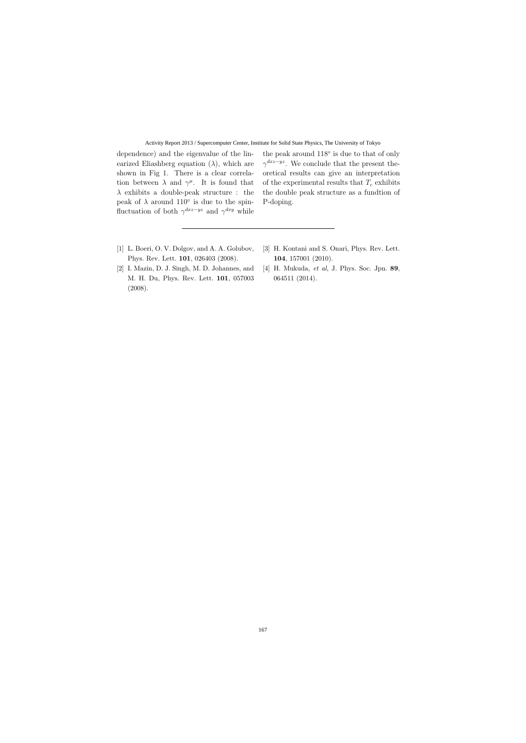#### Activity Report 2013 / Supercomputer Center, Institute for Solid State Physics, The University of Tokyo

dependence) and the eigenvalue of the linearized Eliashberg equation  $(\lambda)$ , which are shown in Fig 1. There is a clear correlation between  $\lambda$  and  $\gamma^{\mu}$ . It is found that *λ* exhibits a double-peak structure : the peak of  $\lambda$  around 110<sup>°</sup> is due to the spinfluctuation of both  $\gamma^{dxz-yz}$  and  $\gamma^{dxy}$  while

the peak around 118*◦* is due to that of only *γ*<sup>*dxz−yz*. We conclude that the present the-</sup> oretical results can give an interpretation of the experimental results that  $T_c$  exhibits the double peak structure as a fundtion of P-doping.

- [1] L. Boeri, O. V. Dolgov, and A. A. Golubov, Phys. Rev. Lett. **101**, 026403 (2008).
- [2] I. Mazin, D. J. Singh, M. D. Johannes, and M. H. Du, Phys. Rev. Lett. **101**, 057003 (2008).
- [3] H. Kontani and S. Onari, Phys. Rev. Lett. **104**, 157001 (2010).
- [4] H. Mukuda, *et al*, J. Phys. Soc. Jpn. **89**, 064511 (2014).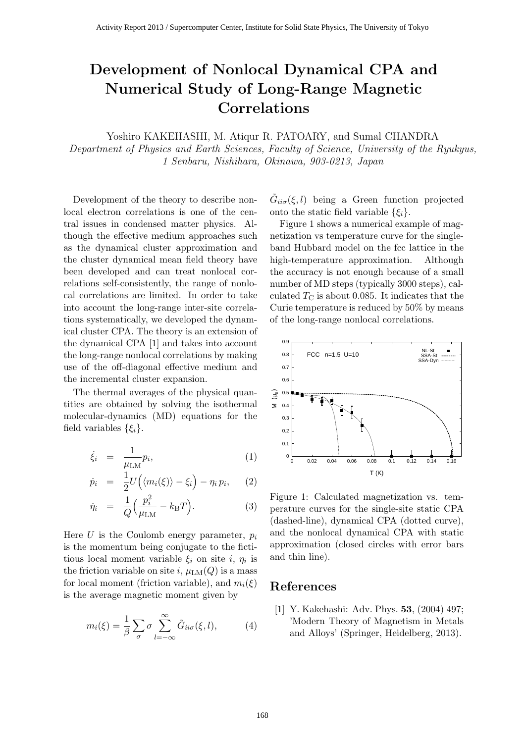## **Development of Nonlocal Dynamical CPA and Numerical Study of Long-Range Magnetic Correlations**

Yoshiro KAKEHASHI, M. Atiqur R. PATOARY, and Sumal CHANDRA

*Department of Physics and Earth Sciences, Faculty of Science, University of the Ryukyus, 1 Senbaru, Nishihara, Okinawa, 903-0213, Japan*

Development of the theory to describe nonlocal electron correlations is one of the central issues in condensed matter physics. Although the effective medium approaches such as the dynamical cluster approximation and the cluster dynamical mean field theory have been developed and can treat nonlocal correlations self-consistently, the range of nonlocal correlations are limited. In order to take into account the long-range inter-site correlations systematically, we developed the dynamical cluster CPA. The theory is an extension of the dynamical CPA [1] and takes into account the long-range nonlocal correlations by making use of the off-diagonal effective medium and the incremental cluster expansion.

The thermal averages of the physical quantities are obtained by solving the isothermal molecular-dynamics (MD) equations for the field variables  $\{\xi_i\}$ .

$$
\dot{\xi}_i = \frac{1}{\mu_{\text{LM}}} p_i,\tag{1}
$$

$$
\dot{p}_i = \frac{1}{2} U\Big(\langle m_i(\xi) \rangle - \xi_i\Big) - \eta_i p_i, \qquad (2)
$$

$$
\dot{\eta}_i = \frac{1}{Q} \Big( \frac{p_i^2}{\mu_{\rm LM}} - k_{\rm B} T \Big). \tag{3}
$$

Here  $U$  is the Coulomb energy parameter,  $p_i$ is the momentum being conjugate to the fictitious local moment variable  $\xi_i$  on site *i*,  $\eta_i$  is the friction variable on site *i*,  $\mu_{LM}(Q)$  is a mass for local moment (friction variable), and  $m_i(\xi)$ is the average magnetic moment given by

$$
m_i(\xi) = \frac{1}{\beta} \sum_{\sigma} \sigma \sum_{l=-\infty}^{\infty} \tilde{G}_{ii\sigma}(\xi, l), \qquad (4)
$$

 $\tilde{G}_{ii\sigma}(\xi, l)$  being a Green function projected onto the static field variable  $\{\xi_i\}$ .

Figure 1 shows a numerical example of magnetization vs temperature curve for the singleband Hubbard model on the fcc lattice in the high-temperature approximation. Although the accuracy is not enough because of a small number of MD steps (typically 3000 steps), calculated  $T_{\rm C}$  is about 0.085. It indicates that the Curie temperature is reduced by 50% by means of the long-range nonlocal correlations.



Figure 1: Calculated magnetization vs. temperature curves for the single-site static CPA (dashed-line), dynamical CPA (dotted curve), and the nonlocal dynamical CPA with static approximation (closed circles with error bars and thin line).

## **References**

[1] Y. Kakehashi: Adv. Phys. **53**, (2004) 497; 'Modern Theory of Magnetism in Metals and Alloys' (Springer, Heidelberg, 2013).